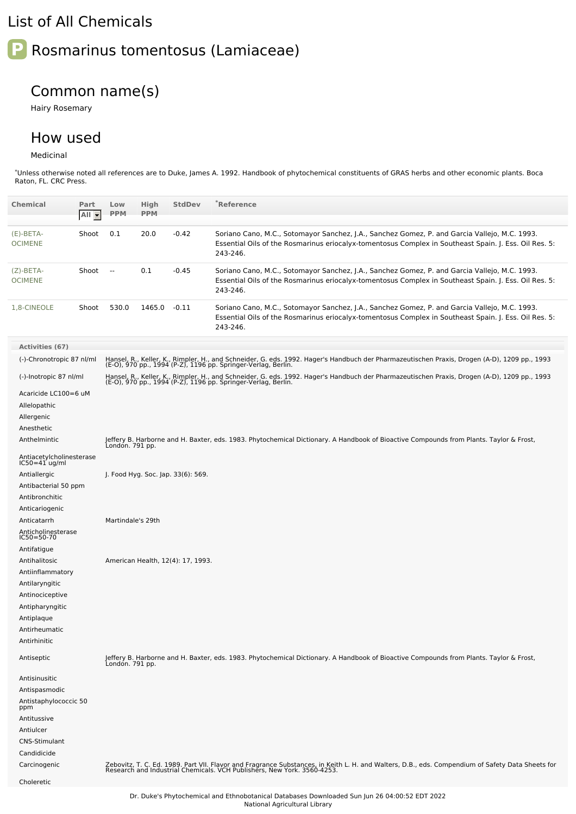## List of All Chemicals

## **P** Rosmarinus tomentosus (Lamiaceae)

## Common name(s)

Hairy Rosemary

## How used

Medicinal

\*Unless otherwise noted all references are to Duke, James A. 1992. Handbook of phytochemical constituents of GRAS herbs and other economic plants. Boca Raton, FL. CRC Press.

| <b>Chemical</b>                                           | Part<br>All - | Low<br><b>PPM</b> | High<br><b>PPM</b> | <b>StdDev</b>                      | <b>Reference</b>                                                                                                                                                                                                            |
|-----------------------------------------------------------|---------------|-------------------|--------------------|------------------------------------|-----------------------------------------------------------------------------------------------------------------------------------------------------------------------------------------------------------------------------|
|                                                           |               |                   |                    |                                    |                                                                                                                                                                                                                             |
| $(E)$ -BETA-<br><b>OCIMENE</b>                            | Shoot         | 0.1               | 20.0               | $-0.42$                            | Soriano Cano, M.C., Sotomayor Sanchez, J.A., Sanchez Gomez, P. and Garcia Vallejo, M.C. 1993.<br>Essential Oils of the Rosmarinus eriocalyx-tomentosus Complex in Southeast Spain. J. Ess. Oil Res. 5:<br>243-246.          |
| $(Z)$ -BETA-<br><b>OCIMENE</b>                            | Shoot         | $\sim$            | 0.1                | $-0.45$                            | Soriano Cano, M.C., Sotomayor Sanchez, J.A., Sanchez Gomez, P. and Garcia Vallejo, M.C. 1993.<br>Essential Oils of the Rosmarinus eriocalyx-tomentosus Complex in Southeast Spain. J. Ess. Oil Res. 5:<br>243-246.          |
| 1,8-CINEOLE                                               | Shoot         | 530.0             | 1465.0 -0.11       |                                    | Soriano Cano, M.C., Sotomayor Sanchez, J.A., Sanchez Gomez, P. and Garcia Vallejo, M.C. 1993.<br>Essential Oils of the Rosmarinus eriocalyx-tomentosus Complex in Southeast Spain. J. Ess. Oil Res. 5:<br>243-246.          |
| Activities (67)                                           |               |                   |                    |                                    |                                                                                                                                                                                                                             |
| (-)-Chronotropic 87 nl/ml                                 |               |                   |                    |                                    |                                                                                                                                                                                                                             |
|                                                           |               |                   |                    |                                    | Hansel, R., Keller, K., Rimpler, H., and Schneider, G. eds. 1992. Hager's Handbuch der Pharmazeutischen Praxis, Drogen (A-D), 1209 pp., 1993<br>(E-O), 970 pp., 1994 (P-Z), 1196 pp. Springer-Verlag, Berlin.               |
| (-)-Inotropic 87 nl/ml<br>Acaricide LC100=6 uM            |               |                   |                    |                                    | Hansel, R., Keller, K., Rimpler, H., and Schneider, G. eds. 1992. Hager's Handbuch der Pharmazeutischen Praxis, Drogen (A-D), 1209 pp., 1993<br>(E-O), 970 pp., 1994 (P-Z), 1196 pp. Springer-Verlag, Berlin.               |
|                                                           |               |                   |                    |                                    |                                                                                                                                                                                                                             |
| Allelopathic                                              |               |                   |                    |                                    |                                                                                                                                                                                                                             |
| Allergenic<br>Anesthetic                                  |               |                   |                    |                                    |                                                                                                                                                                                                                             |
|                                                           |               |                   |                    |                                    | Jeffery B. Harborne and H. Baxter, eds. 1983. Phytochemical Dictionary. A Handbook of Bioactive Compounds from Plants. Taylor & Frost,                                                                                      |
| Anthelmintic<br>Antiacetylcholinesterase<br>IC50=41 ug/ml |               | London. 791 pp.   |                    |                                    |                                                                                                                                                                                                                             |
|                                                           |               |                   |                    |                                    |                                                                                                                                                                                                                             |
| Antiallergic                                              |               |                   |                    | J. Food Hyg. Soc. Jap. 33(6): 569. |                                                                                                                                                                                                                             |
| Antibacterial 50 ppm                                      |               |                   |                    |                                    |                                                                                                                                                                                                                             |
| Antibronchitic                                            |               |                   |                    |                                    |                                                                                                                                                                                                                             |
| Anticariogenic                                            |               |                   |                    |                                    |                                                                                                                                                                                                                             |
| Anticatarrh                                               |               | Martindale's 29th |                    |                                    |                                                                                                                                                                                                                             |
| Anticholinesterase<br>$IC50 = 50 - 70$                    |               |                   |                    |                                    |                                                                                                                                                                                                                             |
| Antifatigue                                               |               |                   |                    |                                    |                                                                                                                                                                                                                             |
| Antihalitosic                                             |               |                   |                    | American Health, 12(4): 17, 1993.  |                                                                                                                                                                                                                             |
| Antiinflammatory                                          |               |                   |                    |                                    |                                                                                                                                                                                                                             |
| Antilaryngitic                                            |               |                   |                    |                                    |                                                                                                                                                                                                                             |
| Antinociceptive                                           |               |                   |                    |                                    |                                                                                                                                                                                                                             |
| Antipharyngitic<br>Antiplaque                             |               |                   |                    |                                    |                                                                                                                                                                                                                             |
| Antirheumatic                                             |               |                   |                    |                                    |                                                                                                                                                                                                                             |
| Antirhinitic                                              |               |                   |                    |                                    |                                                                                                                                                                                                                             |
| Antiseptic                                                |               | Londón. 791 pp.   |                    |                                    | Jeffery B. Harborne and H. Baxter, eds. 1983. Phytochemical Dictionary. A Handbook of Bioactive Compounds from Plants. Taylor & Frost,                                                                                      |
| Antisinusitic                                             |               |                   |                    |                                    |                                                                                                                                                                                                                             |
| Antispasmodic                                             |               |                   |                    |                                    |                                                                                                                                                                                                                             |
| Antistaphylococcic 50<br>ppm                              |               |                   |                    |                                    |                                                                                                                                                                                                                             |
| Antitussive                                               |               |                   |                    |                                    |                                                                                                                                                                                                                             |
| Antiulcer                                                 |               |                   |                    |                                    |                                                                                                                                                                                                                             |
| <b>CNS-Stimulant</b>                                      |               |                   |                    |                                    |                                                                                                                                                                                                                             |
| Candidicide                                               |               |                   |                    |                                    |                                                                                                                                                                                                                             |
| Carcinogenic                                              |               |                   |                    |                                    | Zebovitz, T. C. Ed. 1989. Part VII. Flavor and Fragrance Substances, in Keith L. H. and Walters, D.B., eds. Compendium of Safety Data Sheets for<br>Research and Industrial Chemicals. VCH Publishers, New York. 3560-4253. |
| Choleretic                                                |               |                   |                    |                                    |                                                                                                                                                                                                                             |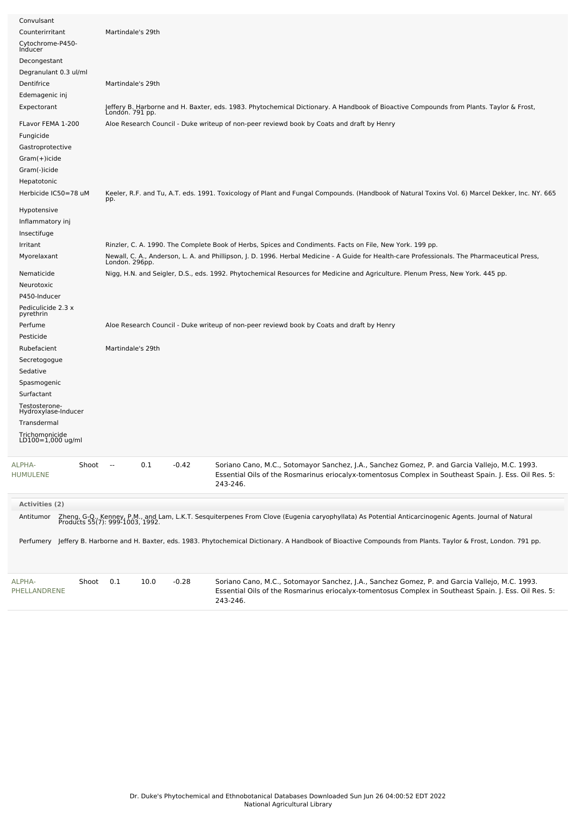| Convulsant                           |                                            |                                                                                                                                                                                                                    |
|--------------------------------------|--------------------------------------------|--------------------------------------------------------------------------------------------------------------------------------------------------------------------------------------------------------------------|
| Counterirritant                      | Martindale's 29th                          |                                                                                                                                                                                                                    |
| Cytochrome-P450-<br>Inducer          |                                            |                                                                                                                                                                                                                    |
| Decongestant                         |                                            |                                                                                                                                                                                                                    |
| Degranulant 0.3 ul/ml                |                                            |                                                                                                                                                                                                                    |
| Dentifrice                           | Martindale's 29th                          |                                                                                                                                                                                                                    |
| Edemagenic inj                       |                                            |                                                                                                                                                                                                                    |
| Expectorant                          | Londón. 791 pp.                            | Jeffery B. Harborne and H. Baxter, eds. 1983. Phytochemical Dictionary. A Handbook of Bioactive Compounds from Plants. Taylor & Frost,                                                                             |
| FLavor FEMA 1-200                    |                                            | Aloe Research Council - Duke writeup of non-peer reviewd book by Coats and draft by Henry                                                                                                                          |
| Fungicide                            |                                            |                                                                                                                                                                                                                    |
| Gastroprotective                     |                                            |                                                                                                                                                                                                                    |
| Gram(+)icide                         |                                            |                                                                                                                                                                                                                    |
| Gram(-)icide                         |                                            |                                                                                                                                                                                                                    |
| Hepatotonic                          |                                            |                                                                                                                                                                                                                    |
| Herbicide IC50=78 uM                 | pp.                                        | Keeler, R.F. and Tu, A.T. eds. 1991. Toxicology of Plant and Fungal Compounds. (Handbook of Natural Toxins Vol. 6) Marcel Dekker, Inc. NY. 665                                                                     |
| Hypotensive                          |                                            |                                                                                                                                                                                                                    |
| Inflammatory inj                     |                                            |                                                                                                                                                                                                                    |
| Insectifuge                          |                                            |                                                                                                                                                                                                                    |
| Irritant                             |                                            | Rinzler, C. A. 1990. The Complete Book of Herbs, Spices and Condiments. Facts on File, New York. 199 pp.                                                                                                           |
| Myorelaxant                          |                                            | Newall, C. A., Anderson, L. A. and Phillipson, J. D. 1996. Herbal Medicine - A Guide for Health-care Professionals. The Pharmaceutical Press,<br>London. 296pp.                                                    |
| Nematicide                           |                                            | Nigg, H.N. and Seigler, D.S., eds. 1992. Phytochemical Resources for Medicine and Agriculture. Plenum Press, New York. 445 pp.                                                                                     |
| Neurotoxic                           |                                            |                                                                                                                                                                                                                    |
| P450-Inducer                         |                                            |                                                                                                                                                                                                                    |
| Pediculicide 2.3 x<br>pyrethrin      |                                            |                                                                                                                                                                                                                    |
| Perfume                              |                                            | Aloe Research Council - Duke writeup of non-peer reviewd book by Coats and draft by Henry                                                                                                                          |
| Pesticide                            |                                            |                                                                                                                                                                                                                    |
| Rubefacient                          | Martindale's 29th                          |                                                                                                                                                                                                                    |
| Secretogogue                         |                                            |                                                                                                                                                                                                                    |
| Sedative                             |                                            |                                                                                                                                                                                                                    |
| Spasmogenic                          |                                            |                                                                                                                                                                                                                    |
| Surfactant                           |                                            |                                                                                                                                                                                                                    |
| Testosterone-<br>Hydroxylase-Inducer |                                            |                                                                                                                                                                                                                    |
| Transdermal                          |                                            |                                                                                                                                                                                                                    |
| Trichomonicide                       |                                            |                                                                                                                                                                                                                    |
| LD100=1,000 ug/ml                    |                                            |                                                                                                                                                                                                                    |
| ALPHA-<br>Shoot<br>HUMULENE          | 0.1<br>$-0.42$<br>$\overline{\phantom{a}}$ | Soriano Cano, M.C., Sotomayor Sanchez, J.A., Sanchez Gomez, P. and Garcia Vallejo, M.C. 1993.<br>Essential Oils of the Rosmarinus eriocalyx-tomentosus Complex in Southeast Spain. J. Ess. Oil Res. 5:<br>243-246. |
| <b>Activities (2)</b>                |                                            |                                                                                                                                                                                                                    |
| Antitumor                            |                                            |                                                                                                                                                                                                                    |
|                                      |                                            | Zheng, G-Q., Kenney, P.M., and Lam, L.K.T. Sesquiterpenes From Clove (Eugenia caryophyllata) As Potential Anticarcinogenic Agents. Journal of Natural<br>Products 55(7): 999-1003, 1992.                           |
|                                      |                                            | Perfumery Jeffery B. Harborne and H. Baxter, eds. 1983. Phytochemical Dictionary. A Handbook of Bioactive Compounds from Plants. Taylor & Frost, London. 791 pp.                                                   |
| ALPHA-<br>Shoot<br>PHELLANDRENE      | 0.1<br>10.0<br>$-0.28$                     | Soriano Cano, M.C., Sotomayor Sanchez, J.A., Sanchez Gomez, P. and Garcia Vallejo, M.C. 1993.<br>Essential Oils of the Rosmarinus eriocalyx-tomentosus Complex in Southeast Spain. J. Ess. Oil Res. 5:<br>243-246. |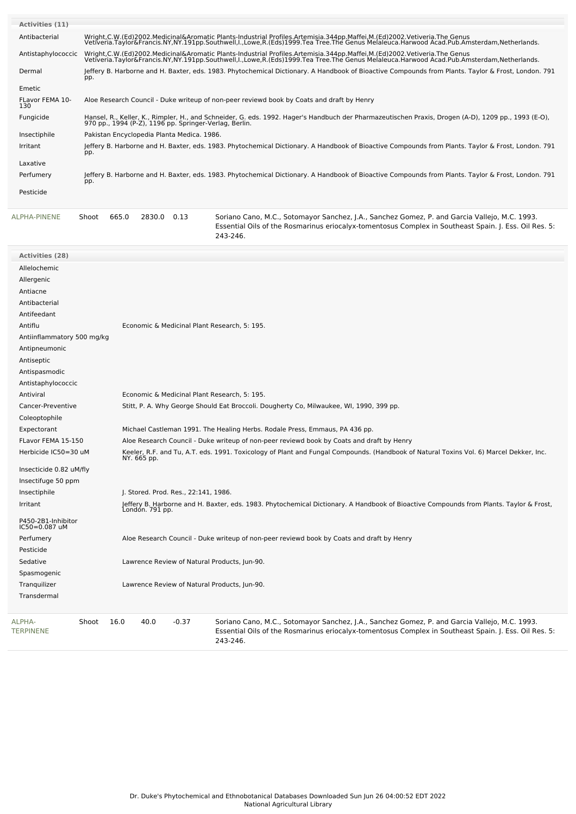| Activities (11)        |                                                                                                                                                                                                                                   |
|------------------------|-----------------------------------------------------------------------------------------------------------------------------------------------------------------------------------------------------------------------------------|
| Antibacterial          | Wright,C.W.(Ed)2002.Medicinal&Aromatic Plants-Industrial Profiles.Artemisia.344pp.Maffei,M.(Ed)2002.Vetiveria.The Genus<br>Vetiveria.Taylor&Francis.NY,NY.191pp.Southwell,I.,Lowe,R.(Eds)1999.Tea Tree.The Genus Melaleuca.Harwoo |
| Antistaphylococcic     | Wright,C.W.(Ed)2002.Medicinal&Aromatic Plants-Industrial Profiles.Artemisia.344pp.Maffei,M.(Ed)2002.Vetiveria.The Genus<br>Vetiveria.Taylor&Francis.NY,NY.191pp.Southwell,I.,Lowe,R.(Eds)1999.Tea Tree.The Genus Melaleuca.Harwoo |
| Dermal                 | Jeffery B. Harborne and H. Baxter, eds. 1983. Phytochemical Dictionary. A Handbook of Bioactive Compounds from Plants. Taylor & Frost, London. 791<br>pp.                                                                         |
| Emetic                 |                                                                                                                                                                                                                                   |
| FLavor FEMA 10-<br>130 | Aloe Research Council - Duke writeup of non-peer reviewd book by Coats and draft by Henry                                                                                                                                         |
| Fungicide              | Hansel, R., Keller, K., Rimpler, H., and Schneider, G. eds. 1992. Hager's Handbuch der Pharmazeutischen Praxis, Drogen (A-D), 1209 pp., 1993 (E-O),<br>970 pp., 1994 (P-Z), 1196 pp. Springer-Verlag, Berlin.                     |
| Insectiphile           | Pakistan Encyclopedia Planta Medica. 1986.                                                                                                                                                                                        |
| Irritant               | Jeffery B. Harborne and H. Baxter, eds. 1983. Phytochemical Dictionary. A Handbook of Bioactive Compounds from Plants. Taylor & Frost, London. 791<br>pp.                                                                         |
| Laxative               |                                                                                                                                                                                                                                   |
| Perfumery              | Jeffery B. Harborne and H. Baxter, eds. 1983. Phytochemical Dictionary. A Handbook of Bioactive Compounds from Plants. Taylor & Frost, London. 791<br>pp.                                                                         |
| Pesticide              |                                                                                                                                                                                                                                   |

[ALPHA-PINENE](file:///phytochem/chemicals/show/3626) Shoot 665.0 2830.0 0.13 Soriano Cano, M.C., Sotomayor Sanchez, J.A., Sanchez Gomez, P. and Garcia Vallejo, M.C. 1993. Essential Oils of the Rosmarinus eriocalyx-tomentosus Complex in Southeast Spain. J. Ess. Oil Res. 5: 243-246.

| <b>Activities (28)</b>              |                                                                                                                                                       |                                                                                                                                                                                                                    |  |  |  |  |  |  |
|-------------------------------------|-------------------------------------------------------------------------------------------------------------------------------------------------------|--------------------------------------------------------------------------------------------------------------------------------------------------------------------------------------------------------------------|--|--|--|--|--|--|
| Allelochemic                        |                                                                                                                                                       |                                                                                                                                                                                                                    |  |  |  |  |  |  |
| Allergenic                          |                                                                                                                                                       |                                                                                                                                                                                                                    |  |  |  |  |  |  |
| Antiacne                            |                                                                                                                                                       |                                                                                                                                                                                                                    |  |  |  |  |  |  |
| Antibacterial                       |                                                                                                                                                       |                                                                                                                                                                                                                    |  |  |  |  |  |  |
| Antifeedant                         |                                                                                                                                                       |                                                                                                                                                                                                                    |  |  |  |  |  |  |
| Antiflu                             | Economic & Medicinal Plant Research, 5: 195.                                                                                                          |                                                                                                                                                                                                                    |  |  |  |  |  |  |
| Antiinflammatory 500 mg/kg          |                                                                                                                                                       |                                                                                                                                                                                                                    |  |  |  |  |  |  |
| Antipneumonic                       |                                                                                                                                                       |                                                                                                                                                                                                                    |  |  |  |  |  |  |
| Antiseptic                          |                                                                                                                                                       |                                                                                                                                                                                                                    |  |  |  |  |  |  |
| Antispasmodic                       |                                                                                                                                                       |                                                                                                                                                                                                                    |  |  |  |  |  |  |
| Antistaphylococcic                  |                                                                                                                                                       |                                                                                                                                                                                                                    |  |  |  |  |  |  |
| Antiviral                           | Economic & Medicinal Plant Research, 5: 195.                                                                                                          |                                                                                                                                                                                                                    |  |  |  |  |  |  |
| Cancer-Preventive                   |                                                                                                                                                       | Stitt, P. A. Why George Should Eat Broccoli. Dougherty Co, Milwaukee, WI, 1990, 399 pp.                                                                                                                            |  |  |  |  |  |  |
| Coleoptophile                       |                                                                                                                                                       |                                                                                                                                                                                                                    |  |  |  |  |  |  |
| Expectorant                         |                                                                                                                                                       | Michael Castleman 1991. The Healing Herbs. Rodale Press, Emmaus, PA 436 pp.                                                                                                                                        |  |  |  |  |  |  |
| FLavor FEMA 15-150                  |                                                                                                                                                       | Aloe Research Council - Duke writeup of non-peer reviewd book by Coats and draft by Henry                                                                                                                          |  |  |  |  |  |  |
| Herbicide IC50=30 uM                | Keeler, R.F. and Tu, A.T. eds. 1991. Toxicology of Plant and Fungal Compounds. (Handbook of Natural Toxins Vol. 6) Marcel Dekker, Inc.<br>NY. 665 pp. |                                                                                                                                                                                                                    |  |  |  |  |  |  |
| Insecticide 0.82 uM/fly             |                                                                                                                                                       |                                                                                                                                                                                                                    |  |  |  |  |  |  |
| Insectifuge 50 ppm                  |                                                                                                                                                       |                                                                                                                                                                                                                    |  |  |  |  |  |  |
| Insectiphile                        | J. Stored. Prod. Res., 22:141, 1986.                                                                                                                  |                                                                                                                                                                                                                    |  |  |  |  |  |  |
| Irritant                            | Londón. 791 pp.                                                                                                                                       | Jeffery B. Harborne and H. Baxter, eds. 1983. Phytochemical Dictionary. A Handbook of Bioactive Compounds from Plants. Taylor & Frost,                                                                             |  |  |  |  |  |  |
| P450-2B1-Inhibitor<br>IC50=0.087 uM |                                                                                                                                                       |                                                                                                                                                                                                                    |  |  |  |  |  |  |
| Perfumery                           |                                                                                                                                                       | Aloe Research Council - Duke writeup of non-peer reviewd book by Coats and draft by Henry                                                                                                                          |  |  |  |  |  |  |
| Pesticide                           |                                                                                                                                                       |                                                                                                                                                                                                                    |  |  |  |  |  |  |
| Sedative                            | Lawrence Review of Natural Products, Jun-90.                                                                                                          |                                                                                                                                                                                                                    |  |  |  |  |  |  |
| Spasmogenic                         |                                                                                                                                                       |                                                                                                                                                                                                                    |  |  |  |  |  |  |
| Tranquilizer                        | Lawrence Review of Natural Products, Jun-90.                                                                                                          |                                                                                                                                                                                                                    |  |  |  |  |  |  |
| Transdermal                         |                                                                                                                                                       |                                                                                                                                                                                                                    |  |  |  |  |  |  |
| Shoot<br>ALPHA-<br><b>TERPINENE</b> | 16.0<br>40.0<br>$-0.37$                                                                                                                               | Soriano Cano, M.C., Sotomayor Sanchez, J.A., Sanchez Gomez, P. and Garcia Vallejo, M.C. 1993.<br>Essential Oils of the Rosmarinus eriocalyx-tomentosus Complex in Southeast Spain. J. Ess. Oil Res. 5:<br>243-246. |  |  |  |  |  |  |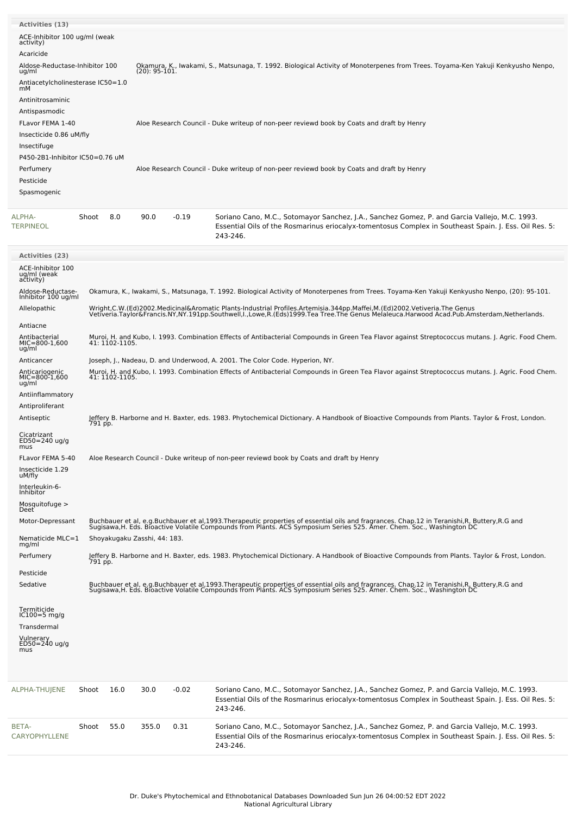| <b>Activities (13)</b>                                                                  |                                   |                |                                                                                           |         |                                                                                                                                                                                                                                    |  |  |  |  |
|-----------------------------------------------------------------------------------------|-----------------------------------|----------------|-------------------------------------------------------------------------------------------|---------|------------------------------------------------------------------------------------------------------------------------------------------------------------------------------------------------------------------------------------|--|--|--|--|
| ACE-Inhibitor 100 ug/ml (weak<br>activity)                                              |                                   |                |                                                                                           |         |                                                                                                                                                                                                                                    |  |  |  |  |
| Acaricide<br>ug/ml                                                                      | Aldose-Reductase-Inhibitor 100    |                | $(20): 95-101.$                                                                           |         | Okamura, K., Iwakami, S., Matsunaga, T. 1992. Biological Activity of Monoterpenes from Trees. Toyama-Ken Yakuji Kenkyusho Nenpo,                                                                                                   |  |  |  |  |
|                                                                                         | Antiacetylcholinesterase IC50=1.0 |                |                                                                                           |         |                                                                                                                                                                                                                                    |  |  |  |  |
| mМ<br>Antinitrosaminic<br>Antispasmodic<br>FLavor FEMA 1-40<br>Insecticide 0.86 uM/fly  |                                   |                | Aloe Research Council - Duke writeup of non-peer reviewd book by Coats and draft by Henry |         |                                                                                                                                                                                                                                    |  |  |  |  |
| Insectifuge<br>P450-2B1-Inhibitor IC50=0.76 uM<br>Perfumery<br>Pesticide<br>Spasmogenic |                                   |                |                                                                                           |         | Aloe Research Council - Duke writeup of non-peer reviewd book by Coats and draft by Henry                                                                                                                                          |  |  |  |  |
| ALPHA-<br><b>TERPINEOL</b>                                                              | Shoot                             | 8.0            | 90.0                                                                                      | $-0.19$ | Soriano Cano, M.C., Sotomayor Sanchez, J.A., Sanchez Gomez, P. and Garcia Vallejo, M.C. 1993.<br>Essential Oils of the Rosmarinus eriocalyx-tomentosus Complex in Southeast Spain. J. Ess. Oil Res. 5:<br>243-246.                 |  |  |  |  |
| <b>Activities (23)</b>                                                                  |                                   |                |                                                                                           |         |                                                                                                                                                                                                                                    |  |  |  |  |
| ACE-Inhibitor 100<br>ug/ml (weak<br>activity)                                           |                                   |                |                                                                                           |         |                                                                                                                                                                                                                                    |  |  |  |  |
| Aldose-Reductase-<br>Inhibitor 100 ug/ml                                                |                                   |                |                                                                                           |         | Okamura, K., Iwakami, S., Matsunaga, T. 1992. Biological Activity of Monoterpenes from Trees. Toyama-Ken Yakuji Kenkyusho Nenpo, (20): 95-101.                                                                                     |  |  |  |  |
| Allelopathic<br>Antiacne                                                                |                                   |                |                                                                                           |         | Wright,C.W.(Ed)2002.Medicinal&Aromatic Plants-Industrial Profiles.Artemisia.344pp.Maffei,M.(Ed)2002.Vetiveria.The Genus<br>Vetiveria.Taylor&Francis.NY,NY.191pp.Southwell,I.,Lowe,R.(Eds)1999.Tea Tree.The Genus Melaleuca.Harwoo  |  |  |  |  |
| Antibacterial<br>$MIC=800-1,600$<br>ug/ml                                               |                                   | 41: 1102-1105. |                                                                                           |         | Muroi, H. and Kubo, I. 1993. Combination Effects of Antibacterial Compounds in Green Tea Flavor against Streptococcus mutans. J. Agric. Food Chem.                                                                                 |  |  |  |  |
| Anticancer<br>Anticariogenic                                                            |                                   |                |                                                                                           |         | Joseph, J., Nadeau, D. and Underwood, A. 2001. The Color Code. Hyperion, NY.<br>Muroi, H. and Kubo, I. 1993. Combination Effects of Antibacterial Compounds in Green Tea Flavor against Streptococcus mutans. J. Agric. Food Chem. |  |  |  |  |
| MIC=800-1,600<br>ug/ml                                                                  |                                   | 41: 1102-1105. |                                                                                           |         |                                                                                                                                                                                                                                    |  |  |  |  |
| Antiinflammatory<br>Antiproliferant                                                     |                                   |                |                                                                                           |         |                                                                                                                                                                                                                                    |  |  |  |  |
| Antiseptic<br>Cicatrizant                                                               | 791 pp.                           |                |                                                                                           |         | Jeffery B. Harborne and H. Baxter, eds. 1983. Phytochemical Dictionary. A Handbook of Bioactive Compounds from Plants. Taylor & Frost, London.                                                                                     |  |  |  |  |
| ED50=240 ug/g<br>mus                                                                    |                                   |                |                                                                                           |         |                                                                                                                                                                                                                                    |  |  |  |  |
| FLavor FEMA 5-40<br>Insecticide 1.29<br>uM/fly                                          |                                   |                |                                                                                           |         | Aloe Research Council - Duke writeup of non-peer reviewd book by Coats and draft by Henry                                                                                                                                          |  |  |  |  |
| Interleukin-6-<br>Inhibitor                                                             |                                   |                |                                                                                           |         |                                                                                                                                                                                                                                    |  |  |  |  |
| Mosquitofuge ><br>Deet <sup>®</sup><br>Motor-Depressant                                 |                                   |                |                                                                                           |         |                                                                                                                                                                                                                                    |  |  |  |  |
| Nematicide MLC=1                                                                        |                                   |                | Shoyakugaku Zasshi, 44: 183.                                                              |         | Buchbauer et al, e.g.Buchbauer et al,1993.Therapeutic properties of essential oils and fragrances. Chap.12 in Teranishi,R, Buttery,R.G and<br>Sugisawa,H. Eds. Bioactive Volatile Compounds from Plants. ACS Symposium Series 525  |  |  |  |  |
| mg/ml<br>Perfumery                                                                      |                                   |                |                                                                                           |         | Jeffery B. Harborne and H. Baxter, eds. 1983. Phytochemical Dictionary. A Handbook of Bioactive Compounds from Plants. Taylor & Frost, London.                                                                                     |  |  |  |  |
| Pesticide                                                                               | 791 pp.                           |                |                                                                                           |         |                                                                                                                                                                                                                                    |  |  |  |  |
| Sedative                                                                                |                                   |                |                                                                                           |         | Buchbauer et al, e.g.Buchbauer et al,1993.Therapeutic properties of essential oils and fragrances. Chap.12 in Teranishi,R, Buttery,R.G and<br>Sugisawa,H. Eds. Bioactive Volatile Compounds from Plants. ACS Symposium Series 525  |  |  |  |  |
| Termiticide<br>IC100=5 mg/g                                                             |                                   |                |                                                                                           |         |                                                                                                                                                                                                                                    |  |  |  |  |
| Transdermal                                                                             |                                   |                |                                                                                           |         |                                                                                                                                                                                                                                    |  |  |  |  |
| Vulnerary<br>ED50=240 ug/g<br>mus                                                       |                                   |                |                                                                                           |         |                                                                                                                                                                                                                                    |  |  |  |  |
| ALPHA-THUJENE                                                                           | Shoot                             | 16.0           | 30.0                                                                                      | $-0.02$ | Soriano Cano, M.C., Sotomayor Sanchez, J.A., Sanchez Gomez, P. and Garcia Vallejo, M.C. 1993.<br>Essential Oils of the Rosmarinus eriocalyx-tomentosus Complex in Southeast Spain. J. Ess. Oil Res. 5:<br>243-246.                 |  |  |  |  |
| BETA-<br>CARYOPHYLLENE                                                                  | Shoot                             | 55.0           | 355.0                                                                                     | 0.31    | Soriano Cano, M.C., Sotomayor Sanchez, J.A., Sanchez Gomez, P. and Garcia Vallejo, M.C. 1993.<br>Essential Oils of the Rosmarinus eriocalyx-tomentosus Complex in Southeast Spain. J. Ess. Oil Res. 5:<br>243-246.                 |  |  |  |  |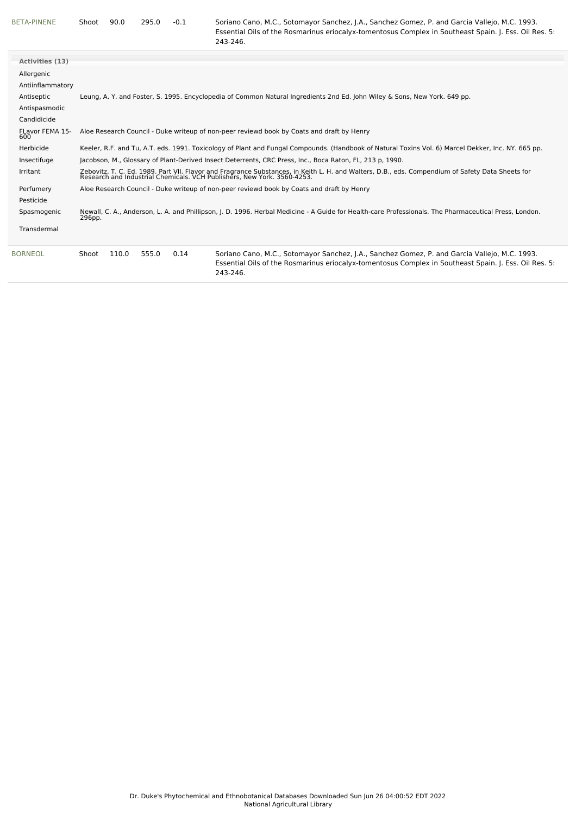[BETA-PINENE](file:///phytochem/chemicals/show/4706) Shoot 90.0 295.0 -0.1 Soriano Cano, M.C., Sotomayor Sanchez, J.A., Sanchez Gomez, P. and Garcia Vallejo, M.C. 1993. Essential Oils of the Rosmarinus eriocalyx-tomentosus Complex in Southeast Spain. J. Ess. Oil Res. 5: 243-246.

| <b>Activities (13)</b> |                                                                                                                                                                                                                                                       |  |  |  |  |  |
|------------------------|-------------------------------------------------------------------------------------------------------------------------------------------------------------------------------------------------------------------------------------------------------|--|--|--|--|--|
| Allergenic             |                                                                                                                                                                                                                                                       |  |  |  |  |  |
| Antiinflammatory       |                                                                                                                                                                                                                                                       |  |  |  |  |  |
| Antiseptic             | Leung, A. Y. and Foster, S. 1995. Encyclopedia of Common Natural Ingredients 2nd Ed. John Wiley & Sons, New York. 649 pp.                                                                                                                             |  |  |  |  |  |
| Antispasmodic          |                                                                                                                                                                                                                                                       |  |  |  |  |  |
|                        |                                                                                                                                                                                                                                                       |  |  |  |  |  |
| Candidicide            |                                                                                                                                                                                                                                                       |  |  |  |  |  |
| FLavor FEMA 15-<br>600 | Aloe Research Council - Duke writeup of non-peer reviewd book by Coats and draft by Henry                                                                                                                                                             |  |  |  |  |  |
| Herbicide              | Keeler, R.F. and Tu, A.T. eds. 1991. Toxicology of Plant and Fungal Compounds. (Handbook of Natural Toxins Vol. 6) Marcel Dekker, Inc. NY. 665 pp.                                                                                                    |  |  |  |  |  |
| Insectifuge            | Jacobson, M., Glossary of Plant-Derived Insect Deterrents, CRC Press, Inc., Boca Raton, FL, 213 p, 1990.                                                                                                                                              |  |  |  |  |  |
| Irritant               | Zebovitz, T. C. Ed. 1989. Part VII. Flavor and Fragrance Substances, in Keith L. H. and Walters, D.B., eds. Compendium of Safety Data Sheets for<br>Research and Industrial Chemicals. VCH Publishers, New York. 3560-4253.                           |  |  |  |  |  |
| Perfumery              | Aloe Research Council - Duke writeup of non-peer reviewd book by Coats and draft by Henry                                                                                                                                                             |  |  |  |  |  |
| Pesticide              |                                                                                                                                                                                                                                                       |  |  |  |  |  |
| Spasmogenic            | Newall, C. A., Anderson, L. A. and Phillipson, J. D. 1996. Herbal Medicine - A Guide for Health-care Professionals. The Pharmaceutical Press, London.<br>296pp.                                                                                       |  |  |  |  |  |
| Transdermal            |                                                                                                                                                                                                                                                       |  |  |  |  |  |
| <b>BORNEOL</b>         | 110.0<br>555.0<br>Soriano Cano, M.C., Sotomayor Sanchez, J.A., Sanchez Gomez, P. and Garcia Vallejo, M.C. 1993.<br>0.14<br>Shoot<br>Essential Oils of the Rosmarinus eriocalyx-tomentosus Complex in Southeast Spain. J. Ess. Oil Res. 5:<br>243-246. |  |  |  |  |  |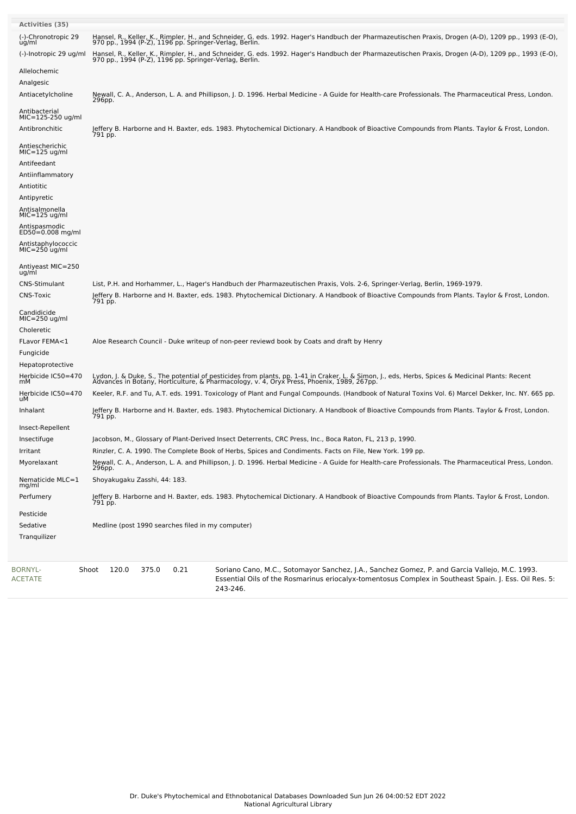| <b>Activities (35)</b>                |                                                                                                                                                                                                                                           |
|---------------------------------------|-------------------------------------------------------------------------------------------------------------------------------------------------------------------------------------------------------------------------------------------|
| (-)-Chronotropic 29<br>ug/ml          | Hansel, R., Keller, K., Rimpler, H., and Schneider, G. eds. 1992. Hager's Handbuch der Pharmazeutischen Praxis, Drogen (A-D), 1209 pp., 1993 (E-O),<br>970 pp., 1994 (P-Z), 1196 pp. Springer-Verlag, Berlin.                             |
| (-)-Inotropic 29 ug/ml                | Hansel, R., Keller, K., Rimpler, H., and Schneider, G. eds. 1992. Hager's Handbuch der Pharmazeutischen Praxis, Drogen (A-D), 1209 pp., 1993 (E-O),<br>970 pp., 1994 (P-Z), 1196 pp. Springer-Verlag, Berlin.                             |
| Allelochemic                          |                                                                                                                                                                                                                                           |
| Analgesic                             |                                                                                                                                                                                                                                           |
| Antiacetylcholine                     | Newall, C. A., Anderson, L. A. and Phillipson, J. D. 1996. Herbal Medicine - A Guide for Health-care Professionals. The Pharmaceutical Press, London.<br>296pp.                                                                           |
| Antibacterial<br>MIC=125-250 ug/ml    |                                                                                                                                                                                                                                           |
| Antibronchitic                        | Jeffery B. Harborne and H. Baxter, eds. 1983. Phytochemical Dictionary. A Handbook of Bioactive Compounds from Plants. Taylor & Frost, London.<br>791 pp.                                                                                 |
| Antiescherichic<br>MIC=125 ug/ml      |                                                                                                                                                                                                                                           |
| Antifeedant                           |                                                                                                                                                                                                                                           |
| Antiinflammatory                      |                                                                                                                                                                                                                                           |
| Antiotitic                            |                                                                                                                                                                                                                                           |
| Antipyretic                           |                                                                                                                                                                                                                                           |
| Antisalmonella<br>$MIC=125$ ug/ml     |                                                                                                                                                                                                                                           |
| Antispasmodic<br>ED50=0.008 mg/ml     |                                                                                                                                                                                                                                           |
| Antistaphylococcic<br>$MIC=250$ ug/ml |                                                                                                                                                                                                                                           |
| Antiyeast MIC=250<br>ug/ml            |                                                                                                                                                                                                                                           |
| CNS-Stimulant                         | List, P.H. and Horhammer, L., Hager's Handbuch der Pharmazeutischen Praxis, Vols. 2-6, Springer-Verlag, Berlin, 1969-1979.                                                                                                                |
| <b>CNS-Toxic</b>                      | Jeffery B. Harborne and H. Baxter, eds. 1983. Phytochemical Dictionary. A Handbook of Bioactive Compounds from Plants. Taylor & Frost, London.<br>791 pp.                                                                                 |
| Candidicide<br>MIC=250 ug/ml          |                                                                                                                                                                                                                                           |
| Choleretic                            |                                                                                                                                                                                                                                           |
| FLavor FEMA<1                         | Aloe Research Council - Duke writeup of non-peer reviewd book by Coats and draft by Henry                                                                                                                                                 |
| Fungicide                             |                                                                                                                                                                                                                                           |
| Hepatoprotective                      |                                                                                                                                                                                                                                           |
| Herbicide IC50=470<br>mМ              | Lydon, J. & Duke, S., The potential of pesticides from plants, pp. 1-41 in Craker, L. & Simon, J., eds, Herbs, Spices & Medicinal Plants: Recent<br>Advances in Botany, Horticulture, & Pharmacology, v. 4, Oryx Press, Phoenix,          |
| Herbicide IC50=470<br>uМ              | Keeler, R.F. and Tu, A.T. eds. 1991. Toxicology of Plant and Fungal Compounds. (Handbook of Natural Toxins Vol. 6) Marcel Dekker, Inc. NY. 665 pp.                                                                                        |
| Inhalant                              | Jeffery B. Harborne and H. Baxter, eds. 1983. Phytochemical Dictionary. A Handbook of Bioactive Compounds from Plants. Taylor & Frost, London.<br>791 pp.                                                                                 |
| Insect-Repellent                      |                                                                                                                                                                                                                                           |
| Insectifuge                           | Jacobson, M., Glossary of Plant-Derived Insect Deterrents, CRC Press, Inc., Boca Raton, FL, 213 p, 1990.                                                                                                                                  |
| Irritant                              | Rinzler, C. A. 1990. The Complete Book of Herbs, Spices and Condiments. Facts on File, New York. 199 pp.                                                                                                                                  |
| Myorelaxant                           | Newall, C. A., Anderson, L. A. and Phillipson, J. D. 1996. Herbal Medicine - A Guide for Health-care Professionals. The Pharmaceutical Press, London.<br>296pp.                                                                           |
| Nematicide MLC=1<br>mg/ml             | Shoyakugaku Zasshi, 44: 183.                                                                                                                                                                                                              |
| Perfumery                             | Jeffery B. Harborne and H. Baxter, eds. 1983. Phytochemical Dictionary. A Handbook of Bioactive Compounds from Plants. Taylor & Frost, London.<br>791 pp.                                                                                 |
| Pesticide                             |                                                                                                                                                                                                                                           |
| Sedative                              | Medline (post 1990 searches filed in my computer)                                                                                                                                                                                         |
| Tranquilizer                          |                                                                                                                                                                                                                                           |
| <b>BORNYL-</b><br><b>ACETATE</b>      | 120.0<br>375.0<br>0.21<br>Soriano Cano, M.C., Sotomayor Sanchez, J.A., Sanchez Gomez, P. and Garcia Vallejo, M.C. 1993.<br>Shoot<br>Essential Oils of the Rosmarinus eriocalyx-tomentosus Complex in Southeast Spain. J. Ess. Oil Res. 5: |

243-246.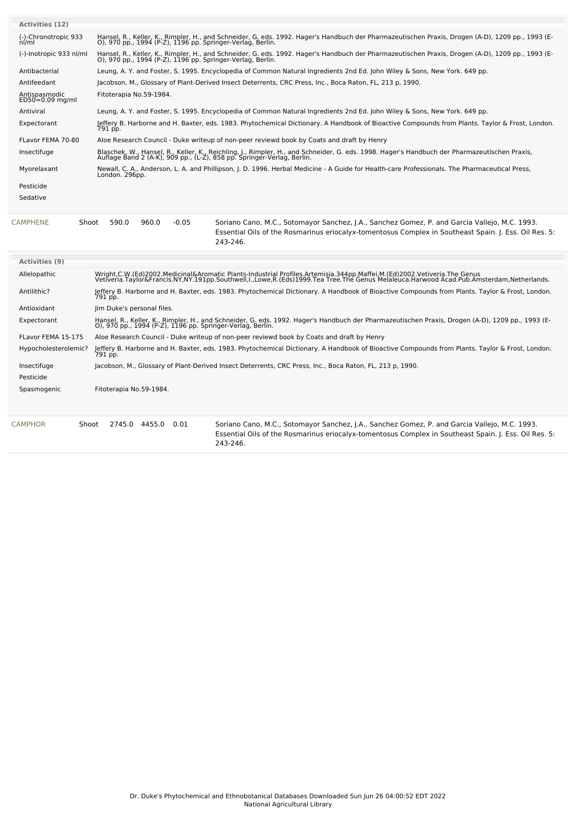| <b>Activities (12)</b>             |                                                                                                                                                                                                                                                                    |
|------------------------------------|--------------------------------------------------------------------------------------------------------------------------------------------------------------------------------------------------------------------------------------------------------------------|
| (-)-Chronotropic 933<br>$n$ / $m$  | Hansel, R., Keller, K., Rimpler, H., and Schneider, G. eds. 1992. Hager's Handbuch der Pharmazeutischen Praxis, Drogen (A-D), 1209 pp., 1993 (E-<br>O), 970 pp., 1994 (P-Z), 1196 pp. Springer-Verlag, Berlin.                                                     |
| (-)-Inotropic 933 nl/ml            | Hansel, R., Keller, K., Rimpler, H., and Schneider, G. eds. 1992. Hager's Handbuch der Pharmazeutischen Praxis, Drogen (A-D), 1209 pp., 1993 (E-<br>O), 970 pp., 1994 (P-Z), 1196 pp. Springer-Verlag, Berlin.                                                     |
| Antibacterial                      | Leung, A. Y. and Foster, S. 1995. Encyclopedia of Common Natural Ingredients 2nd Ed. John Wiley & Sons, New York. 649 pp.                                                                                                                                          |
| Antifeedant                        | Jacobson, M., Glossary of Plant-Derived Insect Deterrents, CRC Press, Inc., Boca Raton, FL, 213 p, 1990.                                                                                                                                                           |
| Antispasmodic<br>$ED50=0.09$ mg/ml | Fitoterapia No.59-1984.                                                                                                                                                                                                                                            |
| Antiviral                          | Leung, A. Y. and Foster, S. 1995. Encyclopedia of Common Natural Ingredients 2nd Ed. John Wiley & Sons, New York. 649 pp.                                                                                                                                          |
| Expectorant                        | Jeffery B. Harborne and H. Baxter, eds. 1983. Phytochemical Dictionary. A Handbook of Bioactive Compounds from Plants. Taylor & Frost, London.<br>791 pp.                                                                                                          |
| FLavor FEMA 70-80                  | Aloe Research Council - Duke writeup of non-peer reviewd book by Coats and draft by Henry                                                                                                                                                                          |
| Insectifuge                        | Blaschek, W., Hansel, R., Keller, K., Reichling, J., Rimpler, H., and Schneider, G. eds. 1998. Hager's Handbuch der Pharmazeutischen Praxis, Auflage Band 2 (A-K), 909 pp., (L-Z), 858 pp. Springer-Verlag, Berlin.                                                |
| Myorelaxant                        | Newall, C. A., Anderson, L. A. and Phillipson, J. D. 1996. Herbal Medicine - A Guide for Health-care Professionals. The Pharmaceutical Press,<br>London. 296pp.                                                                                                    |
| Pesticide                          |                                                                                                                                                                                                                                                                    |
| Sedative                           |                                                                                                                                                                                                                                                                    |
| <b>CAMPHENE</b><br>Shoot           | 590.0<br>960.0<br>$-0.05$<br>Soriano Cano, M.C., Sotomayor Sanchez, J.A., Sanchez Gomez, P. and Garcia Vallejo, M.C. 1993.<br>Essential Oils of the Rosmarinus eriocalyx-tomentosus Complex in Southeast Spain. J. Ess. Oil Res. 5:<br>243-246.                    |
| Activities (9)                     |                                                                                                                                                                                                                                                                    |
| Allelopathic                       | Wright,C.W.(Ed)2002.Medicinal&Aromatic Plants-Industrial Profiles.Artemisia.344pp.Maffei,M.(Ed)2002.Vetiveria.The Genus<br>Vetiveria.Taylor&Francis.NY,NY.191pp.Southwell,I.,Lowe,R.(Eds)1999.Tea Tree.The Genus Melaleuca.Harwood Acad.Pub.Amsterdam,Netherlands. |
| Antilithic?                        | Jeffery B. Harborne and H. Baxter, eds. 1983. Phytochemical Dictionary. A Handbook of Bioactive Compounds from Plants. Taylor & Frost, London.<br>791 pp.                                                                                                          |
| Antioxidant                        | Jim Duke's personal files.                                                                                                                                                                                                                                         |
| Expectorant                        | Hansel, R., Keller, K., Rimpler, H., and Schneider, G. eds. 1992. Hager's Handbuch der Pharmazeutischen Praxis, Drogen (A-D), 1209 pp., 1993 (E-<br>O), 970 pp., 1994 (P-Z), 1196 pp. Springer-Verlag, Berlin.                                                     |
| FLavor FEMA 15-175                 | Aloe Research Council - Duke writeup of non-peer reviewd book by Coats and draft by Henry                                                                                                                                                                          |
| Hypocholesterolemic?               | Jeffery B. Harborne and H. Baxter, eds. 1983. Phytochemical Dictionary. A Handbook of Bioactive Compounds from Plants. Taylor & Frost, London.<br>791 pp.                                                                                                          |
| Insectifuge<br>Pesticide           | Jacobson, M., Glossary of Plant-Derived Insect Deterrents, CRC Press, Inc., Boca Raton, FL, 213 p, 1990.                                                                                                                                                           |
| Spasmogenic                        | Fitoterapia No.59-1984.                                                                                                                                                                                                                                            |
|                                    |                                                                                                                                                                                                                                                                    |
| <b>CAMPHOR</b><br>Shoot            | 2745.0 4455.0<br>Soriano Cano, M.C., Sotomayor Sanchez, J.A., Sanchez Gomez, P. and Garcia Vallejo, M.C. 1993.<br>0.01<br>Essential Oils of the Rosmarinus eriocalyx-tomentosus Complex in Southeast Spain. J. Ess. Oil Res. 5:                                    |
|                                    | 243-246.                                                                                                                                                                                                                                                           |
|                                    |                                                                                                                                                                                                                                                                    |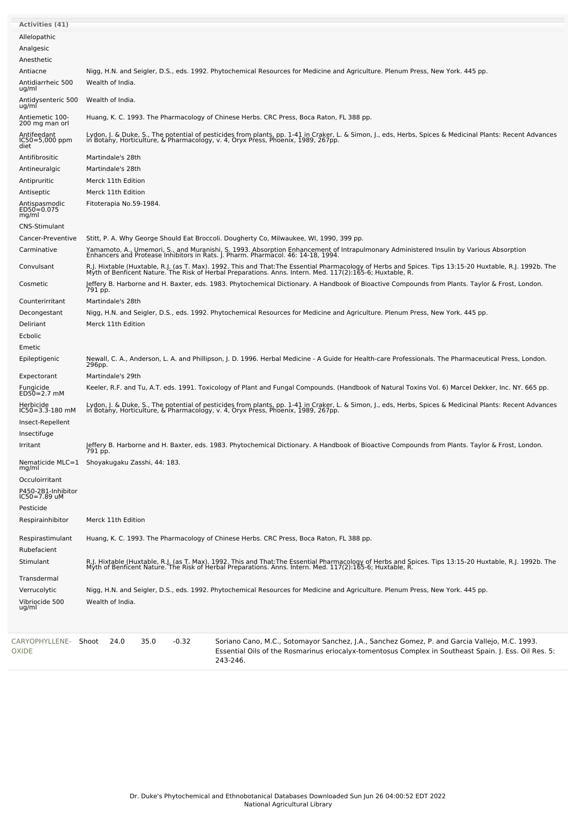| Activities (41)                           |                                                                                                                                                                                                                                                                    |  |  |  |  |  |
|-------------------------------------------|--------------------------------------------------------------------------------------------------------------------------------------------------------------------------------------------------------------------------------------------------------------------|--|--|--|--|--|
| Allelopathic                              |                                                                                                                                                                                                                                                                    |  |  |  |  |  |
| Analgesic                                 |                                                                                                                                                                                                                                                                    |  |  |  |  |  |
| Anesthetic                                |                                                                                                                                                                                                                                                                    |  |  |  |  |  |
| Antiacne                                  | Nigg, H.N. and Seigler, D.S., eds. 1992. Phytochemical Resources for Medicine and Agriculture. Plenum Press, New York. 445 pp.                                                                                                                                     |  |  |  |  |  |
| Antidiarrheic 500<br>ug/ml                | Wealth of India.                                                                                                                                                                                                                                                   |  |  |  |  |  |
| Antidysenteric 500<br>ug/ml               | Wealth of India.                                                                                                                                                                                                                                                   |  |  |  |  |  |
| Antiemetic 100-<br>200 mg man orl         | Huang, K. C. 1993. The Pharmacology of Chinese Herbs. CRC Press, Boca Raton, FL 388 pp.                                                                                                                                                                            |  |  |  |  |  |
| Antifeedant<br>$IC50 = 5,000$ ppm<br>diet | Lydon, J. & Duke, S., The potential of pesticides from plants, pp. 1-41 in Craker, L. & Simon, J., eds, Herbs, Spices & Medicinal Plants: Recent Advances<br>in Botany, Horticulture, & Pharmacology, v. 4, Oryx Press, Phoenix,                                   |  |  |  |  |  |
| Antifibrositic                            | Martindale's 28th                                                                                                                                                                                                                                                  |  |  |  |  |  |
| Antineuralgic                             | Martindale's 28th                                                                                                                                                                                                                                                  |  |  |  |  |  |
| Antipruritic                              | Merck 11th Edition                                                                                                                                                                                                                                                 |  |  |  |  |  |
| Antiseptic                                | Merck 11th Edition                                                                                                                                                                                                                                                 |  |  |  |  |  |
| Antispasmodic<br>ED50=0.075<br>mg/ml      | Fitoterapia No.59-1984.                                                                                                                                                                                                                                            |  |  |  |  |  |
| <b>CNS-Stimulant</b>                      |                                                                                                                                                                                                                                                                    |  |  |  |  |  |
| Cancer-Preventive                         | Stitt, P. A. Why George Should Eat Broccoli. Dougherty Co, Milwaukee, WI, 1990, 399 pp.                                                                                                                                                                            |  |  |  |  |  |
| Carminative                               | Yamamoto, A., Umemori, S., and Muranishi, S. 1993. Absorption Enhancement of Intrapulmonary Administered Insulin by Various Absorption<br>Enhancers and Protease Inhibitors in Rats. J. Pharm. Pharmacol. 46: 14-18, 1994.                                         |  |  |  |  |  |
| Convulsant                                | R.J. Hixtable (Huxtable, R.J. (as T. Max). 1992. This and That:The Essential Pharmacology of Herbs and Spices. Tips 13:15-20 Huxtable, R.J. 1992b. The<br>Myth of Benficent Nature. The Risk of Herbal Preparations. Anns. Intern. Med. 117(2):165-6; Huxtable, R. |  |  |  |  |  |
| Cosmetic                                  | Jeffery B. Harborne and H. Baxter, eds. 1983. Phytochemical Dictionary. A Handbook of Bioactive Compounds from Plants. Taylor & Frost, London.<br>791 pp.                                                                                                          |  |  |  |  |  |
| Counterirritant                           | Martindale's 28th                                                                                                                                                                                                                                                  |  |  |  |  |  |
| Decongestant                              | Nigg, H.N. and Seigler, D.S., eds. 1992. Phytochemical Resources for Medicine and Agriculture. Plenum Press, New York. 445 pp.                                                                                                                                     |  |  |  |  |  |
| Deliriant                                 | Merck 11th Edition                                                                                                                                                                                                                                                 |  |  |  |  |  |
| Ecbolic                                   |                                                                                                                                                                                                                                                                    |  |  |  |  |  |
| Emetic<br>Epileptigenic                   | Newall, C. A., Anderson, L. A. and Phillipson, J. D. 1996. Herbal Medicine - A Guide for Health-care Professionals. The Pharmaceutical Press, London.<br>296pp.                                                                                                    |  |  |  |  |  |
| Expectorant                               | Martindale's 29th                                                                                                                                                                                                                                                  |  |  |  |  |  |
| Fungicide<br>ED50=2.7 mM                  | Keeler, R.F. and Tu, A.T. eds. 1991. Toxicology of Plant and Fungal Compounds. (Handbook of Natural Toxins Vol. 6) Marcel Dekker, Inc. NY. 665 pp.                                                                                                                 |  |  |  |  |  |
| Herbicide<br>$IC50 = 3.3 - 180$ mM        | Lydon, J. & Duke, S., The potential of pesticides from plants, pp. 1-41 in Craker, L. & Simon, J., eds, Herbs, Spices & Medicinal Plants: Recent Advances<br>in Botany, Horticulture, & Pharmacology, v. 4, Oryx Press, Phoenix,                                   |  |  |  |  |  |
| Insect-Repellent                          |                                                                                                                                                                                                                                                                    |  |  |  |  |  |
| Insectifuge                               |                                                                                                                                                                                                                                                                    |  |  |  |  |  |
| Irritant                                  | Jeffery B. Harborne and H. Baxter, eds. 1983. Phytochemical Dictionary. A Handbook of Bioactive Compounds from Plants. Taylor & Frost, London.<br>191 pp.                                                                                                          |  |  |  |  |  |
| mg/ml                                     | Nematicide MLC=1 Shoyakugaku Zasshi, 44: 183.                                                                                                                                                                                                                      |  |  |  |  |  |
| Occuloirritant                            |                                                                                                                                                                                                                                                                    |  |  |  |  |  |
| P450-2B1-Inhibitor<br>$IC50 = 7.89$ uM    |                                                                                                                                                                                                                                                                    |  |  |  |  |  |
| Pesticide                                 |                                                                                                                                                                                                                                                                    |  |  |  |  |  |
| Respirainhibitor                          | Merck 11th Edition                                                                                                                                                                                                                                                 |  |  |  |  |  |
| Respirastimulant<br>Rubefacient           | Huang, K. C. 1993. The Pharmacology of Chinese Herbs. CRC Press, Boca Raton, FL 388 pp.                                                                                                                                                                            |  |  |  |  |  |
| Stimulant                                 | R.J. Hixtable (Huxtable, R.J. (as T. Max). 1992. This and That:The Essential Pharmacology of Herbs and Spices. Tips 13:15-20 Huxtable, R.J. 1992b. The<br>Myth of Benficent Nature. The Risk of Herbal Preparations. Anns. Intern                                  |  |  |  |  |  |
| Transdermal                               |                                                                                                                                                                                                                                                                    |  |  |  |  |  |
| Verrucolytic                              | Nigg, H.N. and Seigler, D.S., eds. 1992. Phytochemical Resources for Medicine and Agriculture. Plenum Press, New York. 445 pp.                                                                                                                                     |  |  |  |  |  |
| Vibriocide 500<br>ug/ml                   | Wealth of India.                                                                                                                                                                                                                                                   |  |  |  |  |  |
|                                           |                                                                                                                                                                                                                                                                    |  |  |  |  |  |
| CARYOPHYLLENE- Shoot<br>OXIDE             | $-0.32$<br>24.0<br>35.0<br>Soriano Cano, M.C., Sotomayor Sanchez, J.A., Sanchez Gomez, P. and Garcia Vallejo, M.C. 1993.<br>Essential Oils of the Rosmarinus eriocalyx-tomentosus Complex in Southeast Spain. J. Ess. Oil Res. 5:<br>243-246.                      |  |  |  |  |  |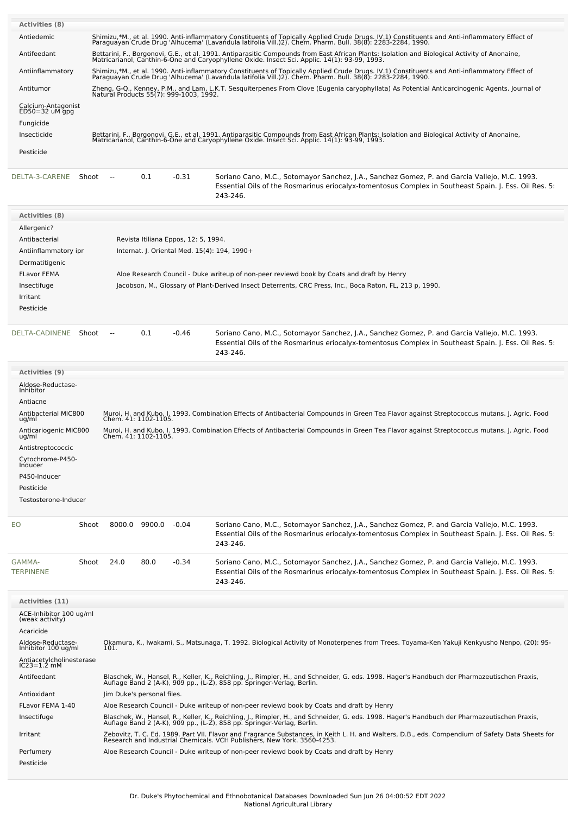| Activities (8)                                                                                              |        |                                                                                                                                                                                                                        |      |                                                                                      |                                                                                                                                                                                                                                                                                                                                    |  |  |  |
|-------------------------------------------------------------------------------------------------------------|--------|------------------------------------------------------------------------------------------------------------------------------------------------------------------------------------------------------------------------|------|--------------------------------------------------------------------------------------|------------------------------------------------------------------------------------------------------------------------------------------------------------------------------------------------------------------------------------------------------------------------------------------------------------------------------------|--|--|--|
| Antiedemic                                                                                                  |        |                                                                                                                                                                                                                        |      |                                                                                      | Shimizu,*M., et al. 1990. Anti-inflammatory Constituents of Topically Applied Crude Drugs. IV.1) Constituents and Anti-inflammatory Effect of<br>Paraguayan Crude Drug 'Alhucema' (Lavandula latifolia Vill.)2). Chem. Pharm. Bul                                                                                                  |  |  |  |
| Antifeedant                                                                                                 |        |                                                                                                                                                                                                                        |      |                                                                                      | Bettarini, F., Borgonovi, G.E., et al. 1991. Antiparasitic Compounds from East African Plants: Isolation and Biological Activity of Anonaine,                                                                                                                                                                                      |  |  |  |
| Antiinflammatory                                                                                            |        |                                                                                                                                                                                                                        |      |                                                                                      | Matricarianol, Canthin-6-One and Caryophyllene Oxide. Insect Sci. Applic. 14(1): 93-99, 1993.<br>Shimizu,*M., et al. 1990. Anti-inflammatory Constituents of Topically Applied Crude Drugs. IV.1) Constituents and Anti-inflammatory Effect of<br>Paraguayan Crude Drug 'Alhucema' (Lavandula latifolia Vill.)2). Chem. Pharm. Bul |  |  |  |
| Antitumor                                                                                                   |        |                                                                                                                                                                                                                        |      |                                                                                      | Zheng, G-Q., Kenney, P.M., and Lam, L.K.T. Sesguiterpenes From Clove (Eugenia caryophyllata) As Potential Anticarcinogenic Agents. Journal of                                                                                                                                                                                      |  |  |  |
| Calcium-Antagonist<br>$ED50 = 32$ uM gpg<br>Fungicide                                                       |        |                                                                                                                                                                                                                        |      | Natural Products 55(7): 999-1003, 1992.                                              |                                                                                                                                                                                                                                                                                                                                    |  |  |  |
| Insecticide                                                                                                 |        |                                                                                                                                                                                                                        |      |                                                                                      | Bettarini, F., Borgonovi, G.E., et al. 1991. Antiparasitic Compounds from East African Plants: Isolation and Biological Activity of Anonaine,<br>Matricarianol, Canthin-6-One and Caryophyllene Oxide. Insect Sci. Applic. 14(1):                                                                                                  |  |  |  |
| Pesticide                                                                                                   |        |                                                                                                                                                                                                                        |      |                                                                                      |                                                                                                                                                                                                                                                                                                                                    |  |  |  |
| DELTA-3-CARENE<br>Shoot                                                                                     | $\sim$ |                                                                                                                                                                                                                        | 0.1  | $-0.31$                                                                              | Soriano Cano, M.C., Sotomayor Sanchez, J.A., Sanchez Gomez, P. and Garcia Vallejo, M.C. 1993.<br>Essential Oils of the Rosmarinus eriocalyx-tomentosus Complex in Southeast Spain. J. Ess. Oil Res. 5:<br>243-246.                                                                                                                 |  |  |  |
| Activities (8)                                                                                              |        |                                                                                                                                                                                                                        |      |                                                                                      |                                                                                                                                                                                                                                                                                                                                    |  |  |  |
| Allergenic?<br>Antibacterial<br>Antiinflammatory ipr<br>Dermatitigenic<br><b>FLavor FEMA</b><br>Insectifuge |        |                                                                                                                                                                                                                        |      | Revista Itiliana Eppos, 12: 5, 1994.<br>Internat. J. Oriental Med. 15(4): 194, 1990+ | Aloe Research Council - Duke writeup of non-peer reviewd book by Coats and draft by Henry<br>Jacobson, M., Glossary of Plant-Derived Insect Deterrents, CRC Press, Inc., Boca Raton, FL, 213 p, 1990.                                                                                                                              |  |  |  |
| Irritant<br>Pesticide                                                                                       |        |                                                                                                                                                                                                                        |      |                                                                                      |                                                                                                                                                                                                                                                                                                                                    |  |  |  |
| DELTA-CADINENE Shoot                                                                                        | $\sim$ |                                                                                                                                                                                                                        | 0.1  | $-0.46$                                                                              | Soriano Cano, M.C., Sotomayor Sanchez, J.A., Sanchez Gomez, P. and Garcia Vallejo, M.C. 1993.<br>Essential Oils of the Rosmarinus eriocalyx-tomentosus Complex in Southeast Spain. J. Ess. Oil Res. 5:<br>243-246.                                                                                                                 |  |  |  |
| Activities (9)                                                                                              |        |                                                                                                                                                                                                                        |      |                                                                                      |                                                                                                                                                                                                                                                                                                                                    |  |  |  |
| Aldose-Reductase-<br>Inhibitor<br>Antiacne                                                                  |        |                                                                                                                                                                                                                        |      |                                                                                      |                                                                                                                                                                                                                                                                                                                                    |  |  |  |
| Antibacterial MIC800<br>ug/ml                                                                               |        | Chem. 41: 1102-1105.                                                                                                                                                                                                   |      |                                                                                      | Muroi, H. and Kubo, I. 1993. Combination Effects of Antibacterial Compounds in Green Tea Flavor against Streptococcus mutans. J. Agric. Food                                                                                                                                                                                       |  |  |  |
| Anticariogenic MIC800<br>ug/ml                                                                              |        | Chem. 41: 1102-1105.                                                                                                                                                                                                   |      |                                                                                      | Muroi, H. and Kubo, I. 1993. Combination Effects of Antibacterial Compounds in Green Tea Flavor against Streptococcus mutans. J. Agric. Food                                                                                                                                                                                       |  |  |  |
| Antistreptococcic<br>Cytochrome-P450-<br>Inducer<br>P450-Inducer<br>Pesticide<br>Testosterone-Inducer       |        |                                                                                                                                                                                                                        |      |                                                                                      |                                                                                                                                                                                                                                                                                                                                    |  |  |  |
| EO                                                                                                          | Shoot  | 8000.0 9900.0                                                                                                                                                                                                          |      | -0.04                                                                                | Soriano Cano, M.C., Sotomayor Sanchez, J.A., Sanchez Gomez, P. and Garcia Vallejo, M.C. 1993.<br>Essential Oils of the Rosmarinus eriocalyx-tomentosus Complex in Southeast Spain. J. Ess. Oil Res. 5:<br>243-246.                                                                                                                 |  |  |  |
| GAMMA-<br><b>TERPINENE</b>                                                                                  | Shoot  | 24.0                                                                                                                                                                                                                   | 80.0 | $-0.34$                                                                              | Soriano Cano, M.C., Sotomayor Sanchez, J.A., Sanchez Gomez, P. and Garcia Vallejo, M.C. 1993.<br>Essential Oils of the Rosmarinus eriocalyx-tomentosus Complex in Southeast Spain. J. Ess. Oil Res. 5:<br>243-246.                                                                                                                 |  |  |  |
| Activities (11)                                                                                             |        |                                                                                                                                                                                                                        |      |                                                                                      |                                                                                                                                                                                                                                                                                                                                    |  |  |  |
| ACE-Inhibitor 100 ug/ml<br>(weak activity)<br>Acaricide<br>Aldose-Reductase-                                |        |                                                                                                                                                                                                                        |      |                                                                                      | Okamura, K., Iwakami, S., Matsunaga, T. 1992. Biological Activity of Monoterpenes from Trees. Toyama-Ken Yakuji Kenkyusho Nenpo, (20): 95-                                                                                                                                                                                         |  |  |  |
| Inhibitor 100 ug/ml<br>Antiacetylcholinesterase                                                             | 101.   |                                                                                                                                                                                                                        |      |                                                                                      |                                                                                                                                                                                                                                                                                                                                    |  |  |  |
| $IC23=1.2$ mM<br>Antifeedant                                                                                |        |                                                                                                                                                                                                                        |      |                                                                                      | Blaschek, W., Hansel, R., Keller, K., Reichling, J., Rimpler, H., and Schneider, G. eds. 1998. Hager's Handbuch der Pharmazeutischen Praxis,<br>Auflage Band 2 (A-K), 909 pp., (L-Z), 858 pp. Springer-Verlag, Berlin.                                                                                                             |  |  |  |
| Antioxidant                                                                                                 |        | Jim Duke's personal files.                                                                                                                                                                                             |      |                                                                                      |                                                                                                                                                                                                                                                                                                                                    |  |  |  |
| FLavor FEMA 1-40                                                                                            |        |                                                                                                                                                                                                                        |      |                                                                                      | Aloe Research Council - Duke writeup of non-peer reviewd book by Coats and draft by Henry                                                                                                                                                                                                                                          |  |  |  |
| Insectifuge                                                                                                 |        | Blaschek, W., Hansel, R., Keller, K., Reichling, J., Rimpler, H., and Schneider, G. eds. 1998. Hager's Handbuch der Pharmazeutischen Praxis,<br>Auflage Band 2 (A-K), 909 pp., (L-Z), 858 pp. Springer-Verlag, Berlin. |      |                                                                                      |                                                                                                                                                                                                                                                                                                                                    |  |  |  |
| Irritant                                                                                                    |        |                                                                                                                                                                                                                        |      |                                                                                      | Zebovitz, T. C. Ed. 1989. Part VII. Flavor and Fragrance Substances, in Keith L. H. and Walters, D.B., eds. Compendium of Safety Data Sheets for<br>Research and Industrial Chemicals. VCH Publishers, New York. 3560-4253.                                                                                                        |  |  |  |
| Perfumery<br>Pesticide                                                                                      |        |                                                                                                                                                                                                                        |      |                                                                                      | Aloe Research Council - Duke writeup of non-peer reviewd book by Coats and draft by Henry                                                                                                                                                                                                                                          |  |  |  |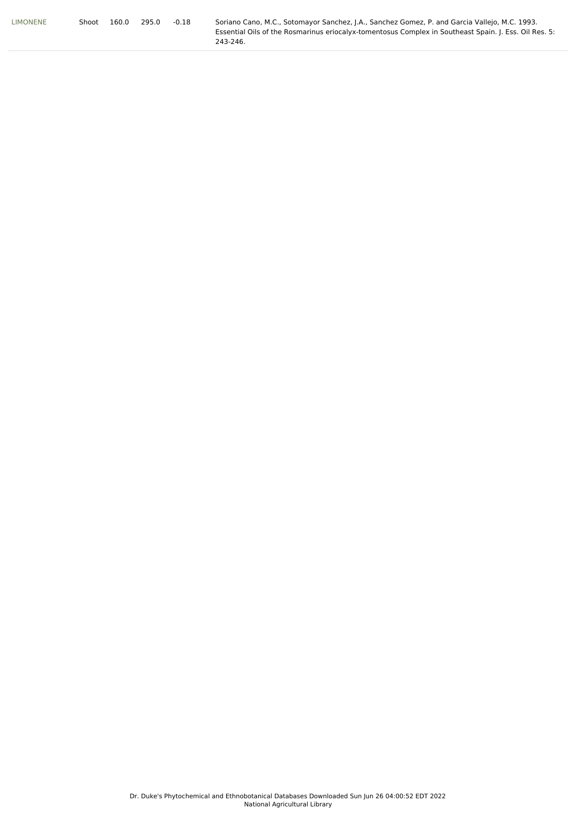| <b>LIMONENE</b> | Shoot | 160.0 | 295.0 | $-0.18$ | Soriano Cano, M.C., Sotomayor Sanchez, J.A., Sanchez Gomez, P. and Garcia Vallejo, M.C. 1993.         |
|-----------------|-------|-------|-------|---------|-------------------------------------------------------------------------------------------------------|
|                 |       |       |       |         | Essential Oils of the Rosmarinus eriocalvx-tomentosus Complex in Southeast Spain. I. Ess. Oil Res. 5: |
|                 |       |       |       |         | 243-246.                                                                                              |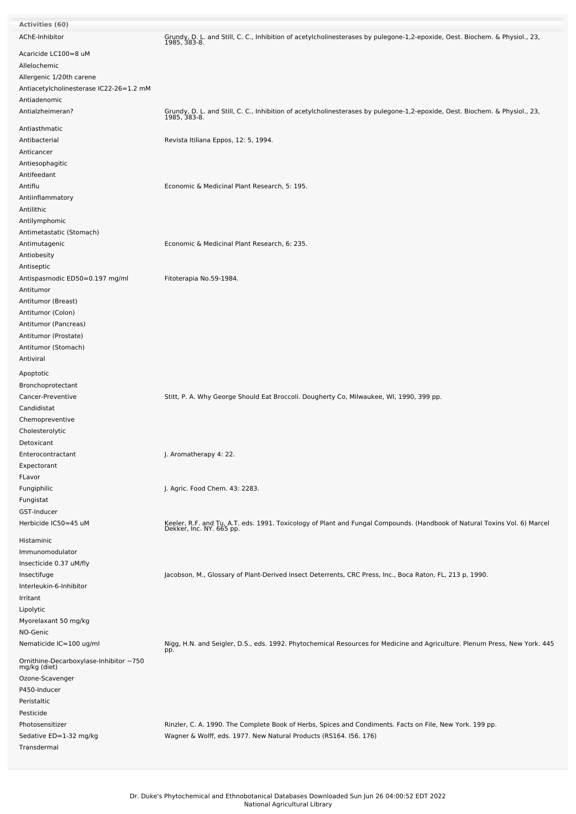| <b>Activities (60)</b>                                |                                                                                                                                                       |
|-------------------------------------------------------|-------------------------------------------------------------------------------------------------------------------------------------------------------|
| AChE-Inhibitor                                        | Grundy, D. L. and Still, C. C., Inhibition of acetylcholinesterases by pulegone-1,2-epoxide, Oest. Biochem. & Physiol., 23,<br>1985, 383-8.           |
| Acaricide LC100=8 uM                                  |                                                                                                                                                       |
| Allelochemic                                          |                                                                                                                                                       |
| Allergenic 1/20th carene                              |                                                                                                                                                       |
| Antiacetylcholinesterase IC22-26=1.2 mM               |                                                                                                                                                       |
| Antiadenomic                                          |                                                                                                                                                       |
| Antialzheimeran?                                      | Grundy, D. L. and Still, C. C., Inhibition of acetylcholinesterases by pulegone-1,2-epoxide, Oest. Biochem. & Physiol., 23,<br>1985, 383-8.           |
| Antiasthmatic                                         |                                                                                                                                                       |
| Antibacterial                                         | Revista Itiliana Eppos, 12: 5, 1994.                                                                                                                  |
| Anticancer                                            |                                                                                                                                                       |
| Antiesophagitic                                       |                                                                                                                                                       |
| Antifeedant                                           |                                                                                                                                                       |
| Antiflu                                               | Economic & Medicinal Plant Research, 5: 195.                                                                                                          |
| Antiinflammatory                                      |                                                                                                                                                       |
| Antilithic                                            |                                                                                                                                                       |
| Antilymphomic                                         |                                                                                                                                                       |
| Antimetastatic (Stomach)                              |                                                                                                                                                       |
| Antimutagenic                                         | Economic & Medicinal Plant Research, 6: 235.                                                                                                          |
| Antiobesity                                           |                                                                                                                                                       |
| Antiseptic                                            |                                                                                                                                                       |
| Antispasmodic ED50=0.197 mg/ml                        | Fitoterapia No.59-1984.                                                                                                                               |
| Antitumor                                             |                                                                                                                                                       |
| Antitumor (Breast)                                    |                                                                                                                                                       |
| Antitumor (Colon)                                     |                                                                                                                                                       |
| Antitumor (Pancreas)                                  |                                                                                                                                                       |
| Antitumor (Prostate)                                  |                                                                                                                                                       |
| Antitumor (Stomach)                                   |                                                                                                                                                       |
| Antiviral                                             |                                                                                                                                                       |
| Apoptotic                                             |                                                                                                                                                       |
| Bronchoprotectant                                     |                                                                                                                                                       |
| Cancer-Preventive                                     | Stitt, P. A. Why George Should Eat Broccoli. Dougherty Co, Milwaukee, WI, 1990, 399 pp.                                                               |
| Candidistat                                           |                                                                                                                                                       |
| Chemopreventive                                       |                                                                                                                                                       |
| Cholesterolytic                                       |                                                                                                                                                       |
| Detoxicant                                            |                                                                                                                                                       |
| Enterocontractant                                     | J. Aromatherapy 4: 22.                                                                                                                                |
| Expectorant                                           |                                                                                                                                                       |
| FLavor                                                |                                                                                                                                                       |
| Fungiphilic                                           | J. Agric. Food Chem. 43: 2283.                                                                                                                        |
| Fungistat                                             |                                                                                                                                                       |
| GST-Inducer                                           |                                                                                                                                                       |
| Herbicide IC50=45 uM                                  | Keeler, R.F. and Tu, A.T. eds. 1991. Toxicology of Plant and Fungal Compounds. (Handbook of Natural Toxins Vol. 6) Marcel<br>Dekker, Inc. NY. 665 pp. |
| Histaminic                                            |                                                                                                                                                       |
| Immunomodulator                                       |                                                                                                                                                       |
| Insecticide 0.37 uM/fly                               |                                                                                                                                                       |
| Insectifuge                                           | Jacobson, M., Glossary of Plant-Derived Insect Deterrents, CRC Press, Inc., Boca Raton, FL, 213 p, 1990.                                              |
| Interleukin-6-Inhibitor                               |                                                                                                                                                       |
| Irritant                                              |                                                                                                                                                       |
| Lipolytic                                             |                                                                                                                                                       |
| Myorelaxant 50 mg/kg                                  |                                                                                                                                                       |
| NO-Genic                                              |                                                                                                                                                       |
| Nematicide IC=100 ug/ml                               | Nigg, H.N. and Seigler, D.S., eds. 1992. Phytochemical Resources for Medicine and Agriculture. Plenum Press, New York. 445<br>pp.                     |
| Ornithine-Decarboxylase-Inhibitor~750<br>mg/kg (diet) |                                                                                                                                                       |
| Ozone-Scavenger                                       |                                                                                                                                                       |
| P450-Inducer                                          |                                                                                                                                                       |
| Peristaltic                                           |                                                                                                                                                       |
| Pesticide                                             |                                                                                                                                                       |
| Photosensitizer                                       | Rinzler, C. A. 1990. The Complete Book of Herbs, Spices and Condiments. Facts on File, New York. 199 pp.                                              |
| Sedative ED=1-32 mg/kg                                | Wagner & Wolff, eds. 1977. New Natural Products (RS164. I56. 176)                                                                                     |
| Transdermal                                           |                                                                                                                                                       |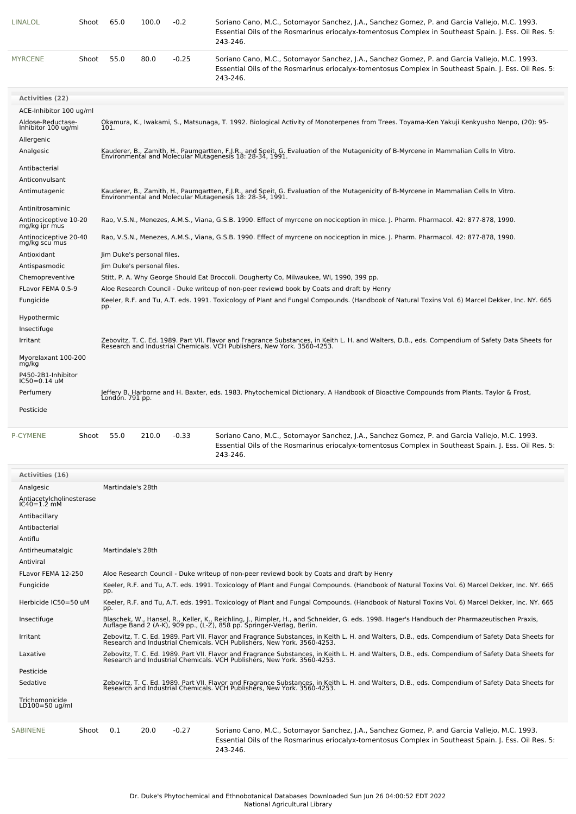| LINALOL                                  | Shoot | 65.0                                                                                                                                                                                                                        | 100.0                                                                                                                               | $-0.2$  | Soriano Cano, M.C., Sotomayor Sanchez, J.A., Sanchez Gomez, P. and Garcia Vallejo, M.C. 1993.<br>Essential Oils of the Rosmarinus eriocalyx-tomentosus Complex in Southeast Spain. J. Ess. Oil Res. 5:<br>243-246.                          |  |  |  |  |  |
|------------------------------------------|-------|-----------------------------------------------------------------------------------------------------------------------------------------------------------------------------------------------------------------------------|-------------------------------------------------------------------------------------------------------------------------------------|---------|---------------------------------------------------------------------------------------------------------------------------------------------------------------------------------------------------------------------------------------------|--|--|--|--|--|
| <b>MYRCENE</b>                           | Shoot | 55.0                                                                                                                                                                                                                        | 80.0                                                                                                                                | $-0.25$ | Soriano Cano, M.C., Sotomayor Sanchez, J.A., Sanchez Gomez, P. and Garcia Vallejo, M.C. 1993.<br>Essential Oils of the Rosmarinus eriocalyx-tomentosus Complex in Southeast Spain. J. Ess. Oil Res. 5:<br>243-246.                          |  |  |  |  |  |
| <b>Activities (22)</b>                   |       |                                                                                                                                                                                                                             |                                                                                                                                     |         |                                                                                                                                                                                                                                             |  |  |  |  |  |
| ACE-Inhibitor 100 ug/ml                  |       |                                                                                                                                                                                                                             |                                                                                                                                     |         |                                                                                                                                                                                                                                             |  |  |  |  |  |
| Aldose-Reductase-<br>Inhibitor 100 ug/ml |       | 101.                                                                                                                                                                                                                        |                                                                                                                                     |         | Okamura, K., Iwakami, S., Matsunaga, T. 1992. Biological Activity of Monoterpenes from Trees. Toyama-Ken Yakuji Kenkyusho Nenpo, (20): 95-                                                                                                  |  |  |  |  |  |
| Allergenic                               |       |                                                                                                                                                                                                                             |                                                                                                                                     |         |                                                                                                                                                                                                                                             |  |  |  |  |  |
| Analgesic<br>Antibacterial               |       |                                                                                                                                                                                                                             |                                                                                                                                     |         | Kauderer, B., Zamith, H., Paumgartten, F.J.R., and Speit, G. Evaluation of the Mutagenicity of B-Myrcene in Mammalian Cells In Vitro.<br>Environmental and Molecular Mutagenesis 18: 28-34, 1991.                                           |  |  |  |  |  |
| Anticonvulsant                           |       |                                                                                                                                                                                                                             |                                                                                                                                     |         |                                                                                                                                                                                                                                             |  |  |  |  |  |
| Antimutagenic                            |       |                                                                                                                                                                                                                             |                                                                                                                                     |         | Kauderer, B., Zamith, H., Paumgartten, F.J.R., and Speit, G. Evaluation of the Mutagenicity of B-Myrcene in Mammalian Cells In Vitro.<br>Environmental and Molecular Mutagenesis 18: 28-34, 1991.                                           |  |  |  |  |  |
| Antinitrosaminic                         |       |                                                                                                                                                                                                                             |                                                                                                                                     |         |                                                                                                                                                                                                                                             |  |  |  |  |  |
| Antinociceptive 10-20<br>mg/kg ipr mus   |       |                                                                                                                                                                                                                             |                                                                                                                                     |         | Rao, V.S.N., Menezes, A.M.S., Viana, G.S.B. 1990. Effect of myrcene on nociception in mice. J. Pharm. Pharmacol. 42: 877-878, 1990.                                                                                                         |  |  |  |  |  |
| Antinociceptive 20-40<br>mg/kg scu mus   |       |                                                                                                                                                                                                                             | Rao, V.S.N., Menezes, A.M.S., Viana, G.S.B. 1990. Effect of myrcene on nociception in mice. J. Pharm. Pharmacol. 42: 877-878, 1990. |         |                                                                                                                                                                                                                                             |  |  |  |  |  |
| Antioxidant                              |       |                                                                                                                                                                                                                             | Jim Duke's personal files.                                                                                                          |         |                                                                                                                                                                                                                                             |  |  |  |  |  |
| Antispasmodic                            |       |                                                                                                                                                                                                                             | Jim Duke's personal files.                                                                                                          |         |                                                                                                                                                                                                                                             |  |  |  |  |  |
| Chemopreventive                          |       |                                                                                                                                                                                                                             |                                                                                                                                     |         | Stitt, P. A. Why George Should Eat Broccoli. Dougherty Co, Milwaukee, WI, 1990, 399 pp.                                                                                                                                                     |  |  |  |  |  |
| FLavor FEMA 0.5-9<br>Fungicide           |       | pp.                                                                                                                                                                                                                         |                                                                                                                                     |         | Aloe Research Council - Duke writeup of non-peer reviewd book by Coats and draft by Henry<br>Keeler, R.F. and Tu, A.T. eds. 1991. Toxicology of Plant and Fungal Compounds. (Handbook of Natural Toxins Vol. 6) Marcel Dekker, Inc. NY. 665 |  |  |  |  |  |
| Hypothermic                              |       |                                                                                                                                                                                                                             |                                                                                                                                     |         |                                                                                                                                                                                                                                             |  |  |  |  |  |
| Insectifuge                              |       |                                                                                                                                                                                                                             |                                                                                                                                     |         |                                                                                                                                                                                                                                             |  |  |  |  |  |
| Irritant                                 |       |                                                                                                                                                                                                                             |                                                                                                                                     |         | Zebovitz, T. C. Ed. 1989. Part VII. Flavor and Fragrance Substances, in Keith L. H. and Walters, D.B., eds. Compendium of Safety Data Sheets for<br>Research and Industrial Chemicals. VCH Publishers, New York. 3560-4253.                 |  |  |  |  |  |
| Myorelaxant 100-200<br>mg/kg             |       |                                                                                                                                                                                                                             |                                                                                                                                     |         |                                                                                                                                                                                                                                             |  |  |  |  |  |
| P450-2B1-Inhibitor<br>$IC50 = 0.14$ uM   |       |                                                                                                                                                                                                                             |                                                                                                                                     |         |                                                                                                                                                                                                                                             |  |  |  |  |  |
| Perfumery                                |       | Jeffery B. Harborne and H. Baxter, eds. 1983. Phytochemical Dictionary. A Handbook of Bioactive Compounds from Plants. Taylor & Frost,<br>Londón. 791 pp.                                                                   |                                                                                                                                     |         |                                                                                                                                                                                                                                             |  |  |  |  |  |
| Pesticide                                |       |                                                                                                                                                                                                                             |                                                                                                                                     |         |                                                                                                                                                                                                                                             |  |  |  |  |  |
| <b>P-CYMENE</b>                          | Shoot | 55.0                                                                                                                                                                                                                        | 210.0                                                                                                                               | $-0.33$ | Soriano Cano, M.C., Sotomayor Sanchez, J.A., Sanchez Gomez, P. and Garcia Vallejo, M.C. 1993.<br>Essential Oils of the Rosmarinus eriocalyx-tomentosus Complex in Southeast Spain. J. Ess. Oil Res. 5:<br>243-246.                          |  |  |  |  |  |
| Activities (16)                          |       |                                                                                                                                                                                                                             |                                                                                                                                     |         |                                                                                                                                                                                                                                             |  |  |  |  |  |
| Analgesic                                |       | Martindale's 28th                                                                                                                                                                                                           |                                                                                                                                     |         |                                                                                                                                                                                                                                             |  |  |  |  |  |
| Antiacetylcholinesterase<br>IC40=1.2 mM  |       |                                                                                                                                                                                                                             |                                                                                                                                     |         |                                                                                                                                                                                                                                             |  |  |  |  |  |
| Antibacillary                            |       |                                                                                                                                                                                                                             |                                                                                                                                     |         |                                                                                                                                                                                                                                             |  |  |  |  |  |
| Antibacterial                            |       |                                                                                                                                                                                                                             |                                                                                                                                     |         |                                                                                                                                                                                                                                             |  |  |  |  |  |
| Antiflu                                  |       |                                                                                                                                                                                                                             |                                                                                                                                     |         |                                                                                                                                                                                                                                             |  |  |  |  |  |
| Antirheumatalgic                         |       | Martindale's 28th                                                                                                                                                                                                           |                                                                                                                                     |         |                                                                                                                                                                                                                                             |  |  |  |  |  |
| Antiviral                                |       |                                                                                                                                                                                                                             |                                                                                                                                     |         |                                                                                                                                                                                                                                             |  |  |  |  |  |
| FLavor FEMA 12-250                       |       | Aloe Research Council - Duke writeup of non-peer reviewd book by Coats and draft by Henry                                                                                                                                   |                                                                                                                                     |         |                                                                                                                                                                                                                                             |  |  |  |  |  |
| Fungicide                                |       | Keeler, R.F. and Tu, A.T. eds. 1991. Toxicology of Plant and Fungal Compounds. (Handbook of Natural Toxins Vol. 6) Marcel Dekker, Inc. NY. 665<br>pp.                                                                       |                                                                                                                                     |         |                                                                                                                                                                                                                                             |  |  |  |  |  |
| Herbicide IC50=50 uM                     |       | pp.                                                                                                                                                                                                                         |                                                                                                                                     |         | Keeler, R.F. and Tu, A.T. eds. 1991. Toxicology of Plant and Fungal Compounds. (Handbook of Natural Toxins Vol. 6) Marcel Dekker, Inc. NY. 665                                                                                              |  |  |  |  |  |
| Insectifuge                              |       | Blaschek, W., Hansel, R., Keller, K., Reichling, J., Rimpler, H., and Schneider, G. eds. 1998. Hager's Handbuch der Pharmazeutischen Praxis,<br>Auflage Band 2 (A-K), 909 pp., (L-Z), 858 pp. Springer-Verlag, Berlin.      |                                                                                                                                     |         |                                                                                                                                                                                                                                             |  |  |  |  |  |
| Irritant                                 |       | Zebovitz, T. C. Ed. 1989. Part VII. Flavor and Fragrance Substances, in Keith L. H. and Walters, D.B., eds. Compendium of Safety Data Sheets for<br>Research and Industrial Chemicals. VCH Publishers, New York. 3560-4253. |                                                                                                                                     |         |                                                                                                                                                                                                                                             |  |  |  |  |  |
| Laxative                                 |       | Zebovitz, T. C. Ed. 1989. Part VII. Flavor and Fragrance Substances, in Keith L. H. and Walters, D.B., eds. Compendium of Safety Data Sheets for<br>Research and Industrial Chemicals. VCH Publishers, New York. 3560-4253. |                                                                                                                                     |         |                                                                                                                                                                                                                                             |  |  |  |  |  |
| Pesticide                                |       |                                                                                                                                                                                                                             |                                                                                                                                     |         |                                                                                                                                                                                                                                             |  |  |  |  |  |
| Sedative                                 |       |                                                                                                                                                                                                                             |                                                                                                                                     |         | Zebovitz, T. C. Ed. 1989. Part VII. Flavor and Fragrance Substances, in Keith L. H. and Walters, D.B., eds. Compendium of Safety Data Sheets for<br>Research and Industrial Chemicals. VCH Publishers, New York. 3560-4253.                 |  |  |  |  |  |
| Trichomonicide<br>LD100=50 ug/ml         |       |                                                                                                                                                                                                                             |                                                                                                                                     |         |                                                                                                                                                                                                                                             |  |  |  |  |  |

[SABINENE](file:///phytochem/chemicals/show/15818) Shoot 0.1 20.0 -0.27 Soriano Cano, M.C., Sotomayor Sanchez, J.A., Sanchez Gomez, P. and Garcia Vallejo, M.C. 1993. Essential Oils of the Rosmarinus eriocalyx-tomentosus Complex in Southeast Spain. J. Ess. Oil Res. 5: 243-246.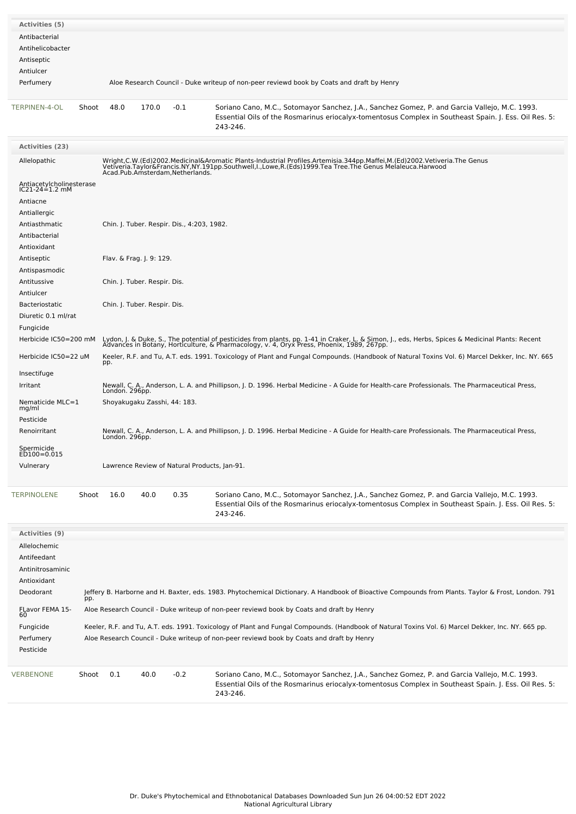| <b>Activities (5)</b>                                                                                                                                                          |                                                                                           |                                                                                                                                                                                                                                                                                                                                                                                           |                              |        |                                                                                                                                                                                                                    |  |  |  |  |  |
|--------------------------------------------------------------------------------------------------------------------------------------------------------------------------------|-------------------------------------------------------------------------------------------|-------------------------------------------------------------------------------------------------------------------------------------------------------------------------------------------------------------------------------------------------------------------------------------------------------------------------------------------------------------------------------------------|------------------------------|--------|--------------------------------------------------------------------------------------------------------------------------------------------------------------------------------------------------------------------|--|--|--|--|--|
| Antibacterial<br>Antihelicobacter<br>Antiseptic                                                                                                                                |                                                                                           |                                                                                                                                                                                                                                                                                                                                                                                           |                              |        |                                                                                                                                                                                                                    |  |  |  |  |  |
| Antiulcer                                                                                                                                                                      |                                                                                           |                                                                                                                                                                                                                                                                                                                                                                                           |                              |        |                                                                                                                                                                                                                    |  |  |  |  |  |
| Perfumery                                                                                                                                                                      |                                                                                           | Aloe Research Council - Duke writeup of non-peer reviewd book by Coats and draft by Henry                                                                                                                                                                                                                                                                                                 |                              |        |                                                                                                                                                                                                                    |  |  |  |  |  |
| TERPINEN-4-OL                                                                                                                                                                  | Shoot                                                                                     | 48.0                                                                                                                                                                                                                                                                                                                                                                                      | 170.0                        | $-0.1$ | Soriano Cano, M.C., Sotomayor Sanchez, J.A., Sanchez Gomez, P. and Garcia Vallejo, M.C. 1993.<br>Essential Oils of the Rosmarinus eriocalyx-tomentosus Complex in Southeast Spain. J. Ess. Oil Res. 5:<br>243-246. |  |  |  |  |  |
| <b>Activities (23)</b>                                                                                                                                                         |                                                                                           |                                                                                                                                                                                                                                                                                                                                                                                           |                              |        |                                                                                                                                                                                                                    |  |  |  |  |  |
| Allelopathic                                                                                                                                                                   |                                                                                           | Wright,C.W.(Ed)2002.Medicinal&Aromatic Plants-Industrial Profiles.Artemisia.344pp.Maffei,M.(Ed)2002.Vetiveria.The Genus<br>Vetiveria.Taylor&Francis.NY,NY.191pp.Southwell,I.,Lowe,R.(Eds)1999.Tea Tree.The Genus Melaleuca.Harwoo<br>Acad.Pub.Amsterdam,Netherlands.                                                                                                                      |                              |        |                                                                                                                                                                                                                    |  |  |  |  |  |
| Antiacetylcholinesterase<br>IC21-24=1.2 mM                                                                                                                                     |                                                                                           |                                                                                                                                                                                                                                                                                                                                                                                           |                              |        |                                                                                                                                                                                                                    |  |  |  |  |  |
| Antiacne                                                                                                                                                                       |                                                                                           |                                                                                                                                                                                                                                                                                                                                                                                           |                              |        |                                                                                                                                                                                                                    |  |  |  |  |  |
| Antiallergic<br>Antiasthmatic                                                                                                                                                  |                                                                                           |                                                                                                                                                                                                                                                                                                                                                                                           |                              |        |                                                                                                                                                                                                                    |  |  |  |  |  |
| Antibacterial                                                                                                                                                                  |                                                                                           | Chin. J. Tuber. Respir. Dis., 4:203, 1982.                                                                                                                                                                                                                                                                                                                                                |                              |        |                                                                                                                                                                                                                    |  |  |  |  |  |
| Antioxidant                                                                                                                                                                    |                                                                                           |                                                                                                                                                                                                                                                                                                                                                                                           |                              |        |                                                                                                                                                                                                                    |  |  |  |  |  |
| Antiseptic                                                                                                                                                                     |                                                                                           |                                                                                                                                                                                                                                                                                                                                                                                           | Flav. & Frag. J. 9: 129.     |        |                                                                                                                                                                                                                    |  |  |  |  |  |
| Antispasmodic                                                                                                                                                                  |                                                                                           |                                                                                                                                                                                                                                                                                                                                                                                           |                              |        |                                                                                                                                                                                                                    |  |  |  |  |  |
| Antitussive                                                                                                                                                                    |                                                                                           |                                                                                                                                                                                                                                                                                                                                                                                           | Chin. J. Tuber. Respir. Dis. |        |                                                                                                                                                                                                                    |  |  |  |  |  |
| Antiulcer                                                                                                                                                                      |                                                                                           |                                                                                                                                                                                                                                                                                                                                                                                           |                              |        |                                                                                                                                                                                                                    |  |  |  |  |  |
| <b>Bacteriostatic</b>                                                                                                                                                          |                                                                                           | Chin. J. Tuber. Respir. Dis.                                                                                                                                                                                                                                                                                                                                                              |                              |        |                                                                                                                                                                                                                    |  |  |  |  |  |
| Diuretic 0.1 ml/rat<br>Fungicide                                                                                                                                               |                                                                                           |                                                                                                                                                                                                                                                                                                                                                                                           |                              |        |                                                                                                                                                                                                                    |  |  |  |  |  |
| Herbicide IC50=200 mM                                                                                                                                                          |                                                                                           |                                                                                                                                                                                                                                                                                                                                                                                           |                              |        |                                                                                                                                                                                                                    |  |  |  |  |  |
| Herbicide IC50=22 uM                                                                                                                                                           |                                                                                           | Lydon, J. & Duke, S., The potential of pesticides from plants, pp. 1-41 in Craker, L. & Simon, J., eds, Herbs, Spices & Medicinal Plants: Recent<br>Advances in Botany, Horticulture, & Pharmacology, v. 4, Oryx Press, Phoenix,<br>Keeler, R.F. and Tu, A.T. eds. 1991. Toxicology of Plant and Fungal Compounds. (Handbook of Natural Toxins Vol. 6) Marcel Dekker, Inc. NY. 665<br>pp. |                              |        |                                                                                                                                                                                                                    |  |  |  |  |  |
| Insectifuge                                                                                                                                                                    |                                                                                           |                                                                                                                                                                                                                                                                                                                                                                                           |                              |        |                                                                                                                                                                                                                    |  |  |  |  |  |
| Irritant                                                                                                                                                                       |                                                                                           | Newall, C. A., Anderson, L. A. and Phillipson, J. D. 1996. Herbal Medicine - A Guide for Health-care Professionals. The Pharmaceutical Press,<br>London. 296pp.                                                                                                                                                                                                                           |                              |        |                                                                                                                                                                                                                    |  |  |  |  |  |
| Nematicide MLC=1<br>mg/ml<br>Pesticide                                                                                                                                         |                                                                                           | Shoyakugaku Zasshi, 44: 183.                                                                                                                                                                                                                                                                                                                                                              |                              |        |                                                                                                                                                                                                                    |  |  |  |  |  |
| Renoirritant                                                                                                                                                                   |                                                                                           | Newall, C. A., Anderson, L. A. and Phillipson, J. D. 1996. Herbal Medicine - A Guide for Health-care Professionals. The Pharmaceutical Press,<br>London. 296pp.                                                                                                                                                                                                                           |                              |        |                                                                                                                                                                                                                    |  |  |  |  |  |
| Spermicide<br>ED100=0.015<br>Vulnerary                                                                                                                                         |                                                                                           |                                                                                                                                                                                                                                                                                                                                                                                           |                              |        | Lawrence Review of Natural Products, Jan-91.                                                                                                                                                                       |  |  |  |  |  |
|                                                                                                                                                                                |                                                                                           |                                                                                                                                                                                                                                                                                                                                                                                           |                              |        |                                                                                                                                                                                                                    |  |  |  |  |  |
| <b>TERPINOLENE</b>                                                                                                                                                             | Shoot                                                                                     | 16.0                                                                                                                                                                                                                                                                                                                                                                                      | 40.0                         | 0.35   | Soriano Cano, M.C., Sotomayor Sanchez, J.A., Sanchez Gomez, P. and Garcia Vallejo, M.C. 1993.<br>Essential Oils of the Rosmarinus eriocalyx-tomentosus Complex in Southeast Spain. J. Ess. Oil Res. 5:<br>243-246. |  |  |  |  |  |
| <b>Activities (9)</b>                                                                                                                                                          |                                                                                           |                                                                                                                                                                                                                                                                                                                                                                                           |                              |        |                                                                                                                                                                                                                    |  |  |  |  |  |
| Allelochemic                                                                                                                                                                   |                                                                                           |                                                                                                                                                                                                                                                                                                                                                                                           |                              |        |                                                                                                                                                                                                                    |  |  |  |  |  |
| Antifeedant<br>Antinitrosaminic                                                                                                                                                |                                                                                           |                                                                                                                                                                                                                                                                                                                                                                                           |                              |        |                                                                                                                                                                                                                    |  |  |  |  |  |
| Antioxidant<br>Deodorant<br>Jeffery B. Harborne and H. Baxter, eds. 1983. Phytochemical Dictionary. A Handbook of Bioactive Compounds from Plants. Taylor & Frost, London. 791 |                                                                                           |                                                                                                                                                                                                                                                                                                                                                                                           |                              |        |                                                                                                                                                                                                                    |  |  |  |  |  |
| pp.                                                                                                                                                                            |                                                                                           |                                                                                                                                                                                                                                                                                                                                                                                           |                              |        |                                                                                                                                                                                                                    |  |  |  |  |  |
| FLavor FEMA 15-<br>60                                                                                                                                                          | Aloe Research Council - Duke writeup of non-peer reviewd book by Coats and draft by Henry |                                                                                                                                                                                                                                                                                                                                                                                           |                              |        |                                                                                                                                                                                                                    |  |  |  |  |  |
| Fungicide<br>Perfumery<br>Pesticide                                                                                                                                            |                                                                                           | Keeler, R.F. and Tu, A.T. eds. 1991. Toxicology of Plant and Fungal Compounds. (Handbook of Natural Toxins Vol. 6) Marcel Dekker, Inc. NY. 665 pp.<br>Aloe Research Council - Duke writeup of non-peer reviewd book by Coats and draft by Henry                                                                                                                                           |                              |        |                                                                                                                                                                                                                    |  |  |  |  |  |
| VERBENONE                                                                                                                                                                      | Shoot                                                                                     | 0.1                                                                                                                                                                                                                                                                                                                                                                                       | 40.0                         | $-0.2$ | Soriano Cano, M.C., Sotomayor Sanchez, J.A., Sanchez Gomez, P. and Garcia Vallejo, M.C. 1993.<br>Essential Oils of the Rosmarinus eriocalyx-tomentosus Complex in Southeast Spain. J. Ess. Oil Res. 5:<br>243-246. |  |  |  |  |  |